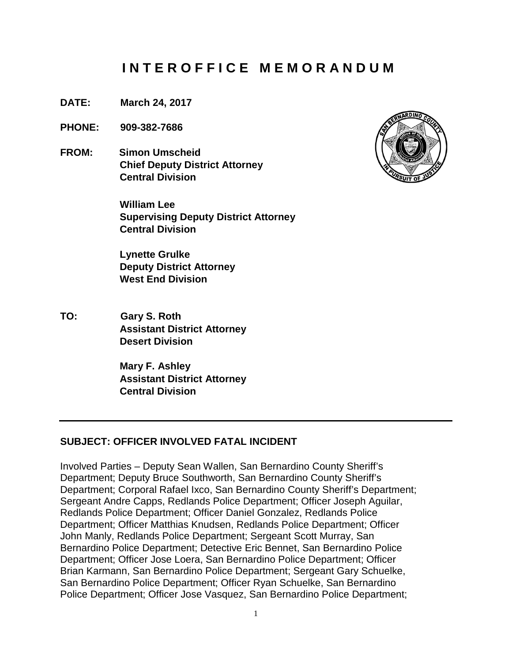# **I N T E R O F F I C E M E M O R A N D U M**

- **DATE: March 24, 2017**
- **PHONE: 909-382-7686**
- **FROM: Simon Umscheid Chief Deputy District Attorney Central Division**

**William Lee Supervising Deputy District Attorney Central Division** 

**Lynette Grulke Deputy District Attorney West End Division**

**TO: Gary S. Roth Assistant District Attorney Desert Division**

> **Mary F. Ashley Assistant District Attorney Central Division**

#### **SUBJECT: OFFICER INVOLVED FATAL INCIDENT**

Involved Parties – Deputy Sean Wallen, San Bernardino County Sheriff's Department; Deputy Bruce Southworth, San Bernardino County Sheriff's Department; Corporal Rafael Ixco, San Bernardino County Sheriff's Department; Sergeant Andre Capps, Redlands Police Department; Officer Joseph Aguilar, Redlands Police Department; Officer Daniel Gonzalez, Redlands Police Department; Officer Matthias Knudsen, Redlands Police Department; Officer John Manly, Redlands Police Department; Sergeant Scott Murray, San Bernardino Police Department; Detective Eric Bennet, San Bernardino Police Department; Officer Jose Loera, San Bernardino Police Department; Officer Brian Karmann, San Bernardino Police Department; Sergeant Gary Schuelke, San Bernardino Police Department; Officer Ryan Schuelke, San Bernardino Police Department; Officer Jose Vasquez, San Bernardino Police Department;

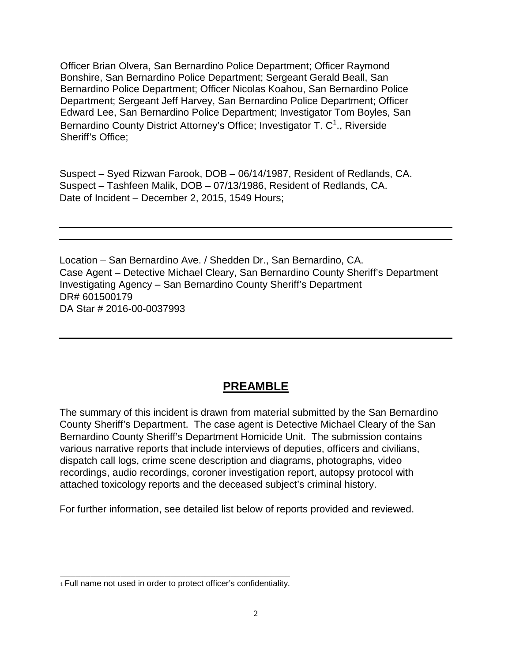Officer Brian Olvera, San Bernardino Police Department; Officer Raymond Bonshire, San Bernardino Police Department; Sergeant Gerald Beall, San Bernardino Police Department; Officer Nicolas Koahou, San Bernardino Police Department; Sergeant Jeff Harvey, San Bernardino Police Department; Officer Edward Lee, San Bernardino Police Department; Investigator Tom Boyles, San Bernardino County District Attorney's Office; Investigator T. C<sup>1</sup>., Riverside Sheriff's Office;

Suspect – Syed Rizwan Farook, DOB – 06/14/1987, Resident of Redlands, CA. Suspect – Tashfeen Malik, DOB – 07/13/1986, Resident of Redlands, CA. Date of Incident – December 2, 2015, 1549 Hours;

Location – San Bernardino Ave. / Shedden Dr., San Bernardino, CA. Case Agent – Detective Michael Cleary, San Bernardino County Sheriff's Department Investigating Agency – San Bernardino County Sheriff's Department DR# 601500179 DA Star # 2016-00-0037993

## **PREAMBLE**

The summary of this incident is drawn from material submitted by the San Bernardino County Sheriff's Department. The case agent is Detective Michael Cleary of the San Bernardino County Sheriff's Department Homicide Unit. The submission contains various narrative reports that include interviews of deputies, officers and civilians, dispatch call logs, crime scene description and diagrams, photographs, video recordings, audio recordings, coroner investigation report, autopsy protocol with attached toxicology reports and the deceased subject's criminal history.

For further information, see detailed list below of reports provided and reviewed.

\_\_\_\_\_\_\_\_\_\_\_\_\_\_\_\_\_\_\_\_\_\_\_\_\_\_\_\_\_\_\_\_\_\_\_\_\_\_\_\_\_\_\_\_\_\_ 1 Full name not used in order to protect officer's confidentiality.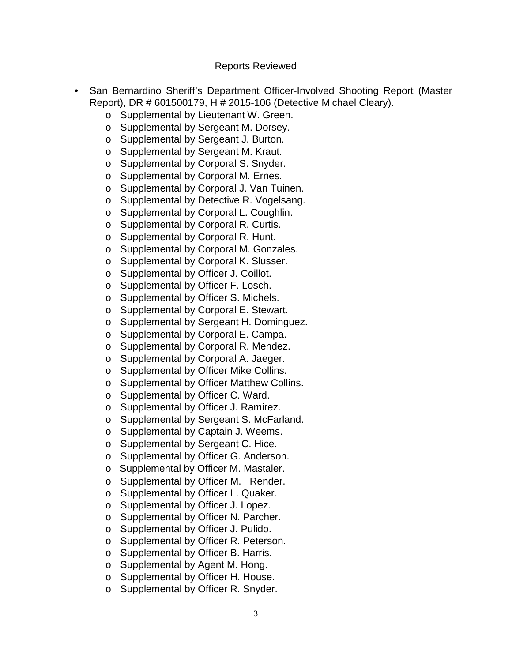#### Reports Reviewed

- San Bernardino Sheriff's Department Officer-Involved Shooting Report (Master Report), DR # 601500179, H # 2015-106 (Detective Michael Cleary).
	- o Supplemental by Lieutenant W. Green.
	- o Supplemental by Sergeant M. Dorsey.
	- o Supplemental by Sergeant J. Burton.
	- o Supplemental by Sergeant M. Kraut.
	- o Supplemental by Corporal S. Snyder.
	- o Supplemental by Corporal M. Ernes.
	- o Supplemental by Corporal J. Van Tuinen.
	- o Supplemental by Detective R. Vogelsang.<br>
	o Supplemental by Corporal L. Coughlin.
	- Supplemental by Corporal L. Coughlin.
	- o Supplemental by Corporal R. Curtis.
	- o Supplemental by Corporal R. Hunt.
	- o Supplemental by Corporal M. Gonzales.
	- o Supplemental by Corporal K. Slusser.
	- o Supplemental by Officer J. Coillot.
	- o Supplemental by Officer F. Losch.
	- o Supplemental by Officer S. Michels.
	- o Supplemental by Corporal E. Stewart.
	- o Supplemental by Sergeant H. Dominguez.
	- o Supplemental by Corporal E. Campa.<br>
	o Supplemental by Corporal R. Mendez.
	- Supplemental by Corporal R. Mendez.
	- o Supplemental by Corporal A. Jaeger.
	- o Supplemental by Officer Mike Collins.
	- o Supplemental by Officer Matthew Collins.
	- o Supplemental by Officer C. Ward.
	- o Supplemental by Officer J. Ramirez.
	- o Supplemental by Sergeant S. McFarland.
	- o Supplemental by Captain J. Weems.
	- o Supplemental by Sergeant C. Hice.
	- o Supplemental by Officer G. Anderson.
	- o Supplemental by Officer M. Mastaler.
	- o Supplemental by Officer M. Render.
	- o Supplemental by Officer L. Quaker.
	- o Supplemental by Officer J. Lopez.
	- o Supplemental by Officer N. Parcher.
	- o Supplemental by Officer J. Pulido.
	- o Supplemental by Officer R. Peterson.
	- o Supplemental by Officer B. Harris.
	- o Supplemental by Agent M. Hong.
	- o Supplemental by Officer H. House.
	- o Supplemental by Officer R. Snyder.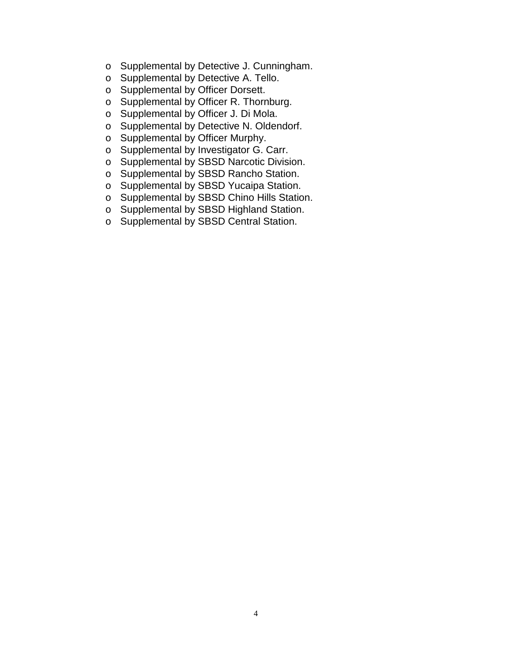- o Supplemental by Detective J. Cunningham.
- o Supplemental by Detective A. Tello.
- o Supplemental by Officer Dorsett.
- o Supplemental by Officer R. Thornburg.
- o Supplemental by Officer J. Di Mola.
- o Supplemental by Detective N. Oldendorf.
- o Supplemental by Officer Murphy.
- o Supplemental by Investigator G. Carr.
- o Supplemental by SBSD Narcotic Division.
- o Supplemental by SBSD Rancho Station.
- o Supplemental by SBSD Yucaipa Station.
- o Supplemental by SBSD Chino Hills Station.
- o Supplemental by SBSD Highland Station.
- o Supplemental by SBSD Central Station.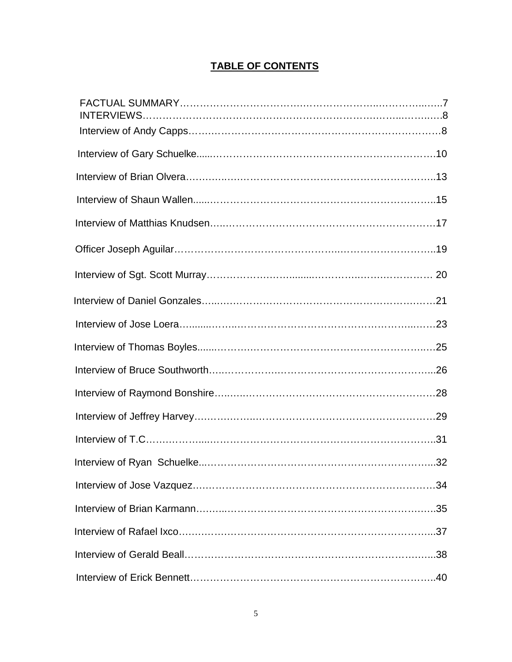## **TABLE OF CONTENTS**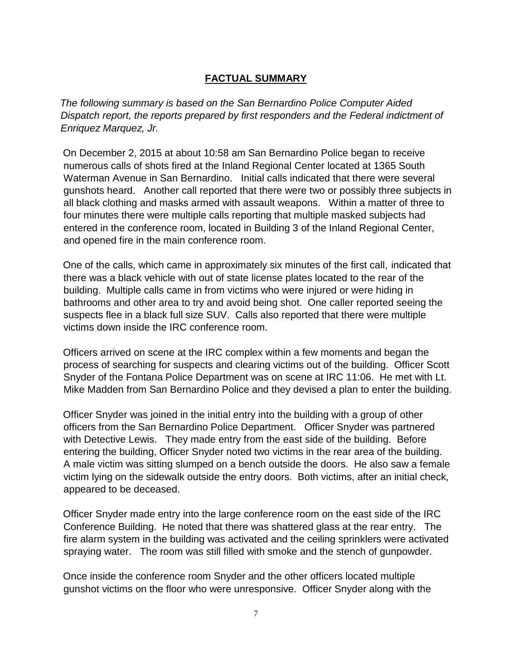## **FACTUAL SUMMARY**

*The following summary is based on the San Bernardino Police Computer Aided Dispatch report, the reports prepared by first responders and the Federal indictment of Enriquez Marquez, Jr.*

On December 2, 2015 at about 10:58 am San Bernardino Police began to receive numerous calls of shots fired at the Inland Regional Center located at 1365 South Waterman Avenue in San Bernardino. Initial calls indicated that there were several gunshots heard. Another call reported that there were two or possibly three subjects in all black clothing and masks armed with assault weapons. Within a matter of three to four minutes there were multiple calls reporting that multiple masked subjects had entered in the conference room, located in Building 3 of the Inland Regional Center, and opened fire in the main conference room.

One of the calls, which came in approximately six minutes of the first call, indicated that there was a black vehicle with out of state license plates located to the rear of the building. Multiple calls came in from victims who were injured or were hiding in bathrooms and other area to try and avoid being shot. One caller reported seeing the suspects flee in a black full size SUV. Calls also reported that there were multiple victims down inside the IRC conference room.

Officers arrived on scene at the IRC complex within a few moments and began the process of searching for suspects and clearing victims out of the building. Officer Scott Snyder of the Fontana Police Department was on scene at IRC 11:06. He met with Lt. Mike Madden from San Bernardino Police and they devised a plan to enter the building.

Officer Snyder was joined in the initial entry into the building with a group of other officers from the San Bernardino Police Department. Officer Snyder was partnered with Detective Lewis. They made entry from the east side of the building. Before entering the building, Officer Snyder noted two victims in the rear area of the building. A male victim was sitting slumped on a bench outside the doors. He also saw a female victim lying on the sidewalk outside the entry doors. Both victims, after an initial check, appeared to be deceased.

Officer Snyder made entry into the large conference room on the east side of the IRC Conference Building. He noted that there was shattered glass at the rear entry. The fire alarm system in the building was activated and the ceiling sprinklers were activated spraying water. The room was still filled with smoke and the stench of gunpowder.

Once inside the conference room Snyder and the other officers located multiple gunshot victims on the floor who were unresponsive. Officer Snyder along with the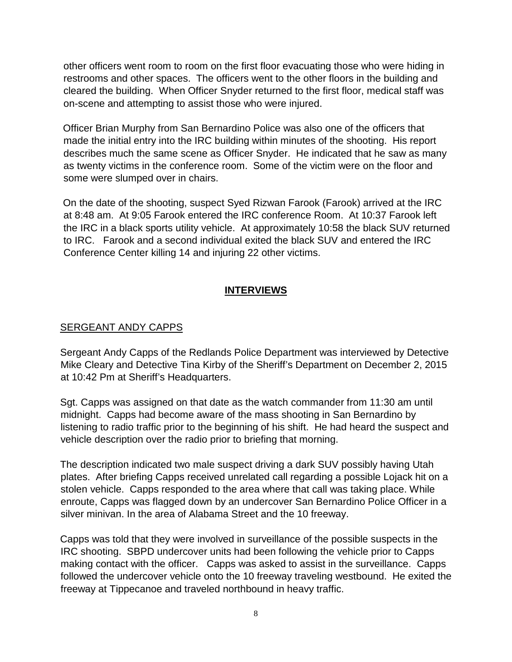other officers went room to room on the first floor evacuating those who were hiding in restrooms and other spaces. The officers went to the other floors in the building and cleared the building. When Officer Snyder returned to the first floor, medical staff was on-scene and attempting to assist those who were injured.

Officer Brian Murphy from San Bernardino Police was also one of the officers that made the initial entry into the IRC building within minutes of the shooting. His report describes much the same scene as Officer Snyder. He indicated that he saw as many as twenty victims in the conference room. Some of the victim were on the floor and some were slumped over in chairs.

On the date of the shooting, suspect Syed Rizwan Farook (Farook) arrived at the IRC at 8:48 am. At 9:05 Farook entered the IRC conference Room. At 10:37 Farook left the IRC in a black sports utility vehicle. At approximately 10:58 the black SUV returned to IRC. Farook and a second individual exited the black SUV and entered the IRC Conference Center killing 14 and injuring 22 other victims.

## **INTERVIEWS**

## SERGEANT ANDY CAPPS

Sergeant Andy Capps of the Redlands Police Department was interviewed by Detective Mike Cleary and Detective Tina Kirby of the Sheriff's Department on December 2, 2015 at 10:42 Pm at Sheriff's Headquarters.

Sgt. Capps was assigned on that date as the watch commander from 11:30 am until midnight. Capps had become aware of the mass shooting in San Bernardino by listening to radio traffic prior to the beginning of his shift. He had heard the suspect and vehicle description over the radio prior to briefing that morning.

The description indicated two male suspect driving a dark SUV possibly having Utah plates. After briefing Capps received unrelated call regarding a possible Lojack hit on a stolen vehicle. Capps responded to the area where that call was taking place. While enroute, Capps was flagged down by an undercover San Bernardino Police Officer in a silver minivan. In the area of Alabama Street and the 10 freeway.

Capps was told that they were involved in surveillance of the possible suspects in the IRC shooting. SBPD undercover units had been following the vehicle prior to Capps making contact with the officer. Capps was asked to assist in the surveillance. Capps followed the undercover vehicle onto the 10 freeway traveling westbound. He exited the freeway at Tippecanoe and traveled northbound in heavy traffic.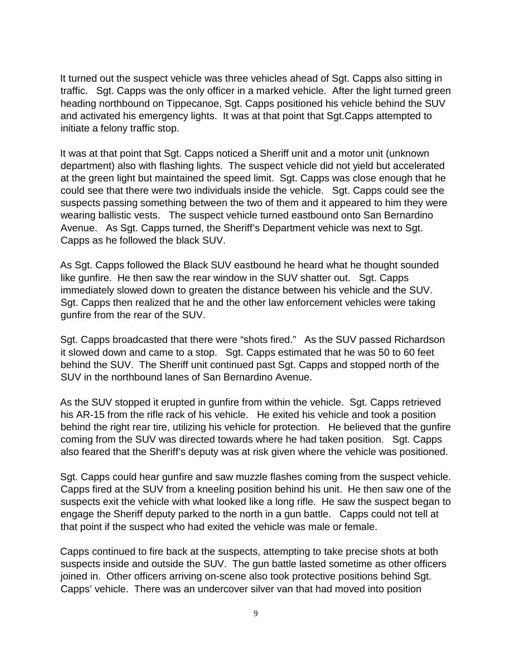It turned out the suspect vehicle was three vehicles ahead of Sgt. Capps also sitting in traffic. Sgt. Capps was the only officer in a marked vehicle. After the light turned green heading northbound on Tippecanoe, Sgt. Capps positioned his vehicle behind the SUV and activated his emergency lights. It was at that point that Sgt.Capps attempted to initiate a felony traffic stop.

It was at that point that Sgt. Capps noticed a Sheriff unit and a motor unit (unknown department) also with flashing lights. The suspect vehicle did not yield but accelerated at the green light but maintained the speed limit. Sgt. Capps was close enough that he could see that there were two individuals inside the vehicle. Sgt. Capps could see the suspects passing something between the two of them and it appeared to him they were wearing ballistic vests. The suspect vehicle turned eastbound onto San Bernardino Avenue. As Sgt. Capps turned, the Sheriff's Department vehicle was next to Sgt. Capps as he followed the black SUV.

As Sgt. Capps followed the Black SUV eastbound he heard what he thought sounded like gunfire. He then saw the rear window in the SUV shatter out. Sgt. Capps immediately slowed down to greaten the distance between his vehicle and the SUV. Sgt. Capps then realized that he and the other law enforcement vehicles were taking gunfire from the rear of the SUV.

Sgt. Capps broadcasted that there were "shots fired." As the SUV passed Richardson it slowed down and came to a stop. Sgt. Capps estimated that he was 50 to 60 feet behind the SUV. The Sheriff unit continued past Sgt. Capps and stopped north of the SUV in the northbound lanes of San Bernardino Avenue.

As the SUV stopped it erupted in gunfire from within the vehicle. Sgt. Capps retrieved his AR-15 from the rifle rack of his vehicle. He exited his vehicle and took a position behind the right rear tire, utilizing his vehicle for protection. He believed that the gunfire coming from the SUV was directed towards where he had taken position. Sgt. Capps also feared that the Sheriff's deputy was at risk given where the vehicle was positioned.

Sgt. Capps could hear gunfire and saw muzzle flashes coming from the suspect vehicle. Capps fired at the SUV from a kneeling position behind his unit. He then saw one of the suspects exit the vehicle with what looked like a long rifle. He saw the suspect began to engage the Sheriff deputy parked to the north in a gun battle. Capps could not tell at that point if the suspect who had exited the vehicle was male or female.

Capps continued to fire back at the suspects, attempting to take precise shots at both suspects inside and outside the SUV. The gun battle lasted sometime as other officers joined in. Other officers arriving on-scene also took protective positions behind Sgt. Capps' vehicle. There was an undercover silver van that had moved into position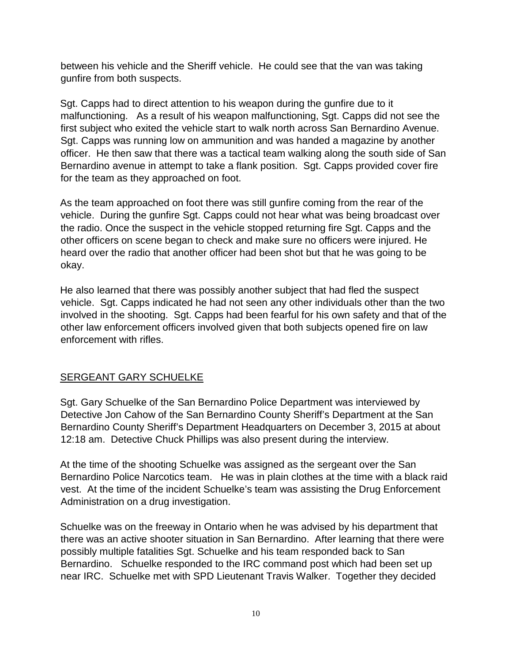between his vehicle and the Sheriff vehicle. He could see that the van was taking gunfire from both suspects.

Sgt. Capps had to direct attention to his weapon during the gunfire due to it malfunctioning. As a result of his weapon malfunctioning, Sgt. Capps did not see the first subject who exited the vehicle start to walk north across San Bernardino Avenue. Sgt. Capps was running low on ammunition and was handed a magazine by another officer. He then saw that there was a tactical team walking along the south side of San Bernardino avenue in attempt to take a flank position. Sgt. Capps provided cover fire for the team as they approached on foot.

As the team approached on foot there was still gunfire coming from the rear of the vehicle. During the gunfire Sgt. Capps could not hear what was being broadcast over the radio. Once the suspect in the vehicle stopped returning fire Sgt. Capps and the other officers on scene began to check and make sure no officers were injured. He heard over the radio that another officer had been shot but that he was going to be okay.

He also learned that there was possibly another subject that had fled the suspect vehicle. Sgt. Capps indicated he had not seen any other individuals other than the two involved in the shooting. Sgt. Capps had been fearful for his own safety and that of the other law enforcement officers involved given that both subjects opened fire on law enforcement with rifles.

## **SERGEANT GARY SCHUELKE**

Sgt. Gary Schuelke of the San Bernardino Police Department was interviewed by Detective Jon Cahow of the San Bernardino County Sheriff's Department at the San Bernardino County Sheriff's Department Headquarters on December 3, 2015 at about 12:18 am. Detective Chuck Phillips was also present during the interview.

At the time of the shooting Schuelke was assigned as the sergeant over the San Bernardino Police Narcotics team. He was in plain clothes at the time with a black raid vest. At the time of the incident Schuelke's team was assisting the Drug Enforcement Administration on a drug investigation.

Schuelke was on the freeway in Ontario when he was advised by his department that there was an active shooter situation in San Bernardino. After learning that there were possibly multiple fatalities Sgt. Schuelke and his team responded back to San Bernardino. Schuelke responded to the IRC command post which had been set up near IRC. Schuelke met with SPD Lieutenant Travis Walker. Together they decided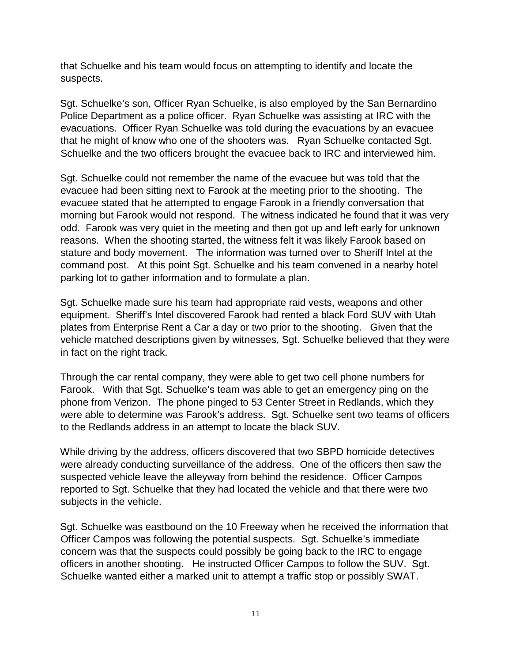that Schuelke and his team would focus on attempting to identify and locate the suspects.

Sgt. Schuelke's son, Officer Ryan Schuelke, is also employed by the San Bernardino Police Department as a police officer. Ryan Schuelke was assisting at IRC with the evacuations. Officer Ryan Schuelke was told during the evacuations by an evacuee that he might of know who one of the shooters was. Ryan Schuelke contacted Sgt. Schuelke and the two officers brought the evacuee back to IRC and interviewed him.

Sgt. Schuelke could not remember the name of the evacuee but was told that the evacuee had been sitting next to Farook at the meeting prior to the shooting. The evacuee stated that he attempted to engage Farook in a friendly conversation that morning but Farook would not respond. The witness indicated he found that it was very odd. Farook was very quiet in the meeting and then got up and left early for unknown reasons. When the shooting started, the witness felt it was likely Farook based on stature and body movement. The information was turned over to Sheriff Intel at the command post. At this point Sgt. Schuelke and his team convened in a nearby hotel parking lot to gather information and to formulate a plan.

Sgt. Schuelke made sure his team had appropriate raid vests, weapons and other equipment. Sheriff's Intel discovered Farook had rented a black Ford SUV with Utah plates from Enterprise Rent a Car a day or two prior to the shooting. Given that the vehicle matched descriptions given by witnesses, Sgt. Schuelke believed that they were in fact on the right track.

Through the car rental company, they were able to get two cell phone numbers for Farook. With that Sgt. Schuelke's team was able to get an emergency ping on the phone from Verizon. The phone pinged to 53 Center Street in Redlands, which they were able to determine was Farook's address. Sgt. Schuelke sent two teams of officers to the Redlands address in an attempt to locate the black SUV.

While driving by the address, officers discovered that two SBPD homicide detectives were already conducting surveillance of the address. One of the officers then saw the suspected vehicle leave the alleyway from behind the residence. Officer Campos reported to Sgt. Schuelke that they had located the vehicle and that there were two subjects in the vehicle.

Sgt. Schuelke was eastbound on the 10 Freeway when he received the information that Officer Campos was following the potential suspects. Sgt. Schuelke's immediate concern was that the suspects could possibly be going back to the IRC to engage officers in another shooting. He instructed Officer Campos to follow the SUV. Sgt. Schuelke wanted either a marked unit to attempt a traffic stop or possibly SWAT.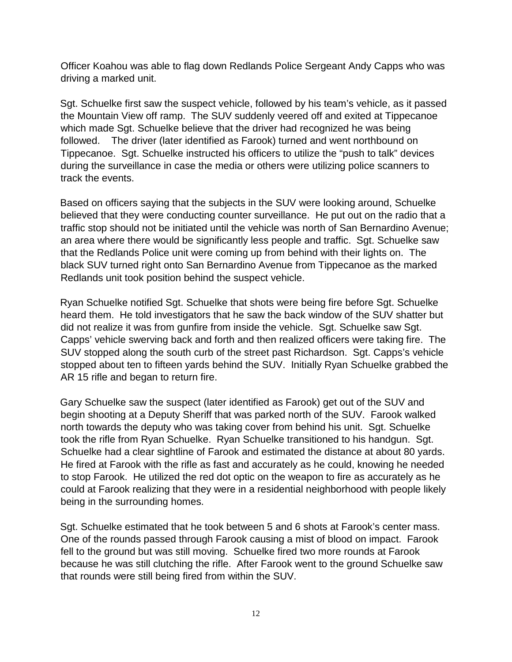Officer Koahou was able to flag down Redlands Police Sergeant Andy Capps who was driving a marked unit.

Sgt. Schuelke first saw the suspect vehicle, followed by his team's vehicle, as it passed the Mountain View off ramp. The SUV suddenly veered off and exited at Tippecanoe which made Sgt. Schuelke believe that the driver had recognized he was being followed. The driver (later identified as Farook) turned and went northbound on Tippecanoe. Sgt. Schuelke instructed his officers to utilize the "push to talk" devices during the surveillance in case the media or others were utilizing police scanners to track the events.

Based on officers saying that the subjects in the SUV were looking around, Schuelke believed that they were conducting counter surveillance. He put out on the radio that a traffic stop should not be initiated until the vehicle was north of San Bernardino Avenue; an area where there would be significantly less people and traffic. Sgt. Schuelke saw that the Redlands Police unit were coming up from behind with their lights on. The black SUV turned right onto San Bernardino Avenue from Tippecanoe as the marked Redlands unit took position behind the suspect vehicle.

Ryan Schuelke notified Sgt. Schuelke that shots were being fire before Sgt. Schuelke heard them. He told investigators that he saw the back window of the SUV shatter but did not realize it was from gunfire from inside the vehicle. Sgt. Schuelke saw Sgt. Capps' vehicle swerving back and forth and then realized officers were taking fire. The SUV stopped along the south curb of the street past Richardson. Sgt. Capps's vehicle stopped about ten to fifteen yards behind the SUV. Initially Ryan Schuelke grabbed the AR 15 rifle and began to return fire.

Gary Schuelke saw the suspect (later identified as Farook) get out of the SUV and begin shooting at a Deputy Sheriff that was parked north of the SUV. Farook walked north towards the deputy who was taking cover from behind his unit. Sgt. Schuelke took the rifle from Ryan Schuelke. Ryan Schuelke transitioned to his handgun. Sgt. Schuelke had a clear sightline of Farook and estimated the distance at about 80 yards. He fired at Farook with the rifle as fast and accurately as he could, knowing he needed to stop Farook. He utilized the red dot optic on the weapon to fire as accurately as he could at Farook realizing that they were in a residential neighborhood with people likely being in the surrounding homes.

Sgt. Schuelke estimated that he took between 5 and 6 shots at Farook's center mass. One of the rounds passed through Farook causing a mist of blood on impact. Farook fell to the ground but was still moving. Schuelke fired two more rounds at Farook because he was still clutching the rifle. After Farook went to the ground Schuelke saw that rounds were still being fired from within the SUV.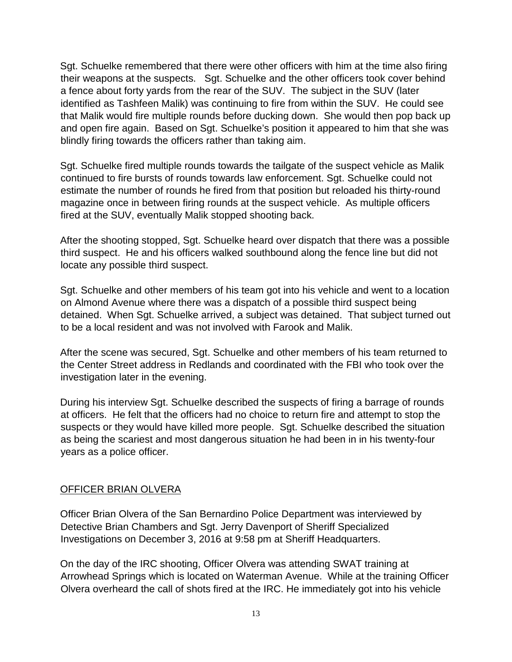Sgt. Schuelke remembered that there were other officers with him at the time also firing their weapons at the suspects. Sgt. Schuelke and the other officers took cover behind a fence about forty yards from the rear of the SUV. The subject in the SUV (later identified as Tashfeen Malik) was continuing to fire from within the SUV. He could see that Malik would fire multiple rounds before ducking down. She would then pop back up and open fire again. Based on Sgt. Schuelke's position it appeared to him that she was blindly firing towards the officers rather than taking aim.

Sgt. Schuelke fired multiple rounds towards the tailgate of the suspect vehicle as Malik continued to fire bursts of rounds towards law enforcement. Sgt. Schuelke could not estimate the number of rounds he fired from that position but reloaded his thirty-round magazine once in between firing rounds at the suspect vehicle. As multiple officers fired at the SUV, eventually Malik stopped shooting back.

After the shooting stopped, Sgt. Schuelke heard over dispatch that there was a possible third suspect. He and his officers walked southbound along the fence line but did not locate any possible third suspect.

Sgt. Schuelke and other members of his team got into his vehicle and went to a location on Almond Avenue where there was a dispatch of a possible third suspect being detained. When Sgt. Schuelke arrived, a subject was detained. That subject turned out to be a local resident and was not involved with Farook and Malik.

After the scene was secured, Sgt. Schuelke and other members of his team returned to the Center Street address in Redlands and coordinated with the FBI who took over the investigation later in the evening.

During his interview Sgt. Schuelke described the suspects of firing a barrage of rounds at officers. He felt that the officers had no choice to return fire and attempt to stop the suspects or they would have killed more people. Sgt. Schuelke described the situation as being the scariest and most dangerous situation he had been in in his twenty-four years as a police officer.

#### OFFICER BRIAN OLVERA

Officer Brian Olvera of the San Bernardino Police Department was interviewed by Detective Brian Chambers and Sgt. Jerry Davenport of Sheriff Specialized Investigations on December 3, 2016 at 9:58 pm at Sheriff Headquarters.

On the day of the IRC shooting, Officer Olvera was attending SWAT training at Arrowhead Springs which is located on Waterman Avenue. While at the training Officer Olvera overheard the call of shots fired at the IRC. He immediately got into his vehicle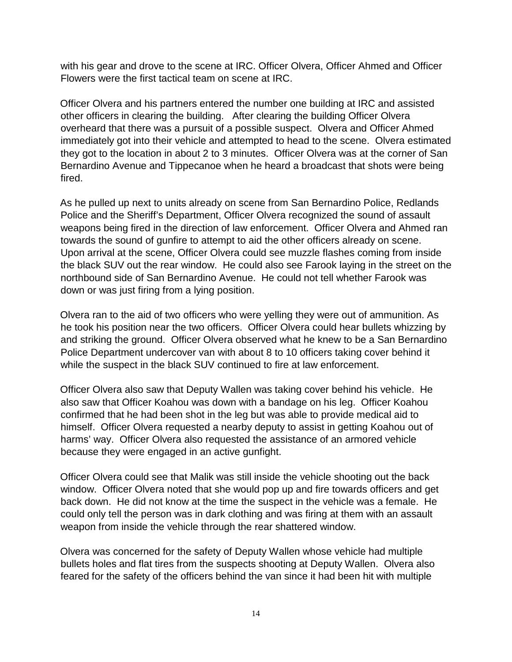with his gear and drove to the scene at IRC. Officer Olvera, Officer Ahmed and Officer Flowers were the first tactical team on scene at IRC.

Officer Olvera and his partners entered the number one building at IRC and assisted other officers in clearing the building. After clearing the building Officer Olvera overheard that there was a pursuit of a possible suspect. Olvera and Officer Ahmed immediately got into their vehicle and attempted to head to the scene. Olvera estimated they got to the location in about 2 to 3 minutes. Officer Olvera was at the corner of San Bernardino Avenue and Tippecanoe when he heard a broadcast that shots were being fired.

As he pulled up next to units already on scene from San Bernardino Police, Redlands Police and the Sheriff's Department, Officer Olvera recognized the sound of assault weapons being fired in the direction of law enforcement. Officer Olvera and Ahmed ran towards the sound of gunfire to attempt to aid the other officers already on scene. Upon arrival at the scene, Officer Olvera could see muzzle flashes coming from inside the black SUV out the rear window. He could also see Farook laying in the street on the northbound side of San Bernardino Avenue. He could not tell whether Farook was down or was just firing from a lying position.

Olvera ran to the aid of two officers who were yelling they were out of ammunition. As he took his position near the two officers. Officer Olvera could hear bullets whizzing by and striking the ground. Officer Olvera observed what he knew to be a San Bernardino Police Department undercover van with about 8 to 10 officers taking cover behind it while the suspect in the black SUV continued to fire at law enforcement.

Officer Olvera also saw that Deputy Wallen was taking cover behind his vehicle. He also saw that Officer Koahou was down with a bandage on his leg. Officer Koahou confirmed that he had been shot in the leg but was able to provide medical aid to himself. Officer Olvera requested a nearby deputy to assist in getting Koahou out of harms' way. Officer Olvera also requested the assistance of an armored vehicle because they were engaged in an active gunfight.

Officer Olvera could see that Malik was still inside the vehicle shooting out the back window. Officer Olvera noted that she would pop up and fire towards officers and get back down. He did not know at the time the suspect in the vehicle was a female. He could only tell the person was in dark clothing and was firing at them with an assault weapon from inside the vehicle through the rear shattered window.

Olvera was concerned for the safety of Deputy Wallen whose vehicle had multiple bullets holes and flat tires from the suspects shooting at Deputy Wallen. Olvera also feared for the safety of the officers behind the van since it had been hit with multiple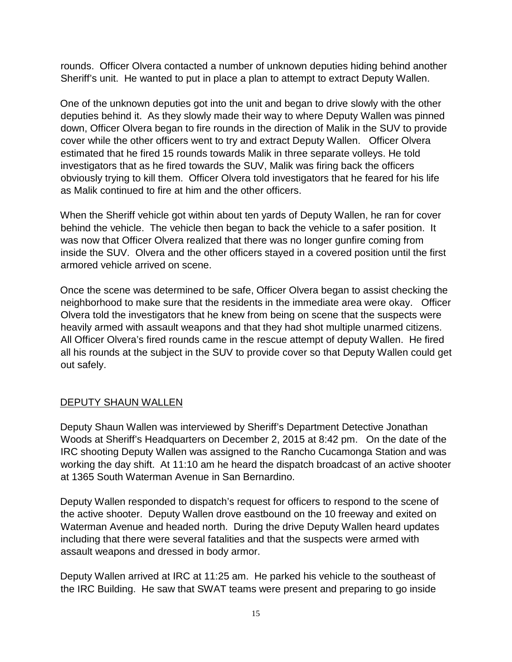rounds. Officer Olvera contacted a number of unknown deputies hiding behind another Sheriff's unit. He wanted to put in place a plan to attempt to extract Deputy Wallen.

One of the unknown deputies got into the unit and began to drive slowly with the other deputies behind it. As they slowly made their way to where Deputy Wallen was pinned down, Officer Olvera began to fire rounds in the direction of Malik in the SUV to provide cover while the other officers went to try and extract Deputy Wallen. Officer Olvera estimated that he fired 15 rounds towards Malik in three separate volleys. He told investigators that as he fired towards the SUV, Malik was firing back the officers obviously trying to kill them. Officer Olvera told investigators that he feared for his life as Malik continued to fire at him and the other officers.

When the Sheriff vehicle got within about ten yards of Deputy Wallen, he ran for cover behind the vehicle. The vehicle then began to back the vehicle to a safer position. It was now that Officer Olvera realized that there was no longer gunfire coming from inside the SUV. Olvera and the other officers stayed in a covered position until the first armored vehicle arrived on scene.

Once the scene was determined to be safe, Officer Olvera began to assist checking the neighborhood to make sure that the residents in the immediate area were okay. Officer Olvera told the investigators that he knew from being on scene that the suspects were heavily armed with assault weapons and that they had shot multiple unarmed citizens. All Officer Olvera's fired rounds came in the rescue attempt of deputy Wallen. He fired all his rounds at the subject in the SUV to provide cover so that Deputy Wallen could get out safely.

#### DEPUTY SHAUN WALLEN

Deputy Shaun Wallen was interviewed by Sheriff's Department Detective Jonathan Woods at Sheriff's Headquarters on December 2, 2015 at 8:42 pm. On the date of the IRC shooting Deputy Wallen was assigned to the Rancho Cucamonga Station and was working the day shift. At 11:10 am he heard the dispatch broadcast of an active shooter at 1365 South Waterman Avenue in San Bernardino.

Deputy Wallen responded to dispatch's request for officers to respond to the scene of the active shooter. Deputy Wallen drove eastbound on the 10 freeway and exited on Waterman Avenue and headed north. During the drive Deputy Wallen heard updates including that there were several fatalities and that the suspects were armed with assault weapons and dressed in body armor.

Deputy Wallen arrived at IRC at 11:25 am. He parked his vehicle to the southeast of the IRC Building. He saw that SWAT teams were present and preparing to go inside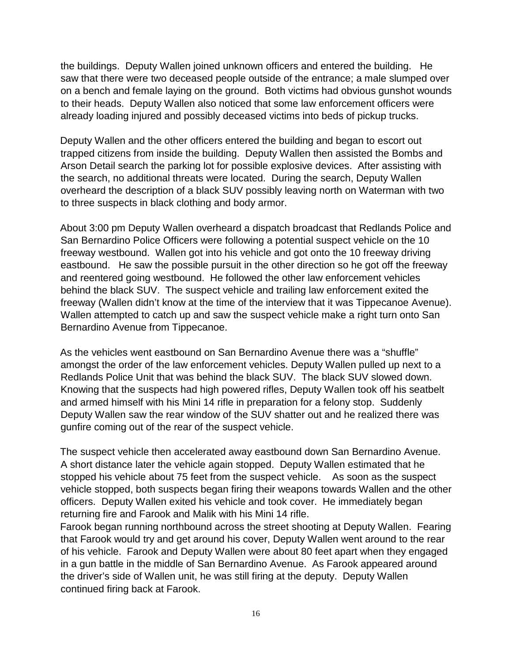the buildings. Deputy Wallen joined unknown officers and entered the building. He saw that there were two deceased people outside of the entrance; a male slumped over on a bench and female laying on the ground. Both victims had obvious gunshot wounds to their heads. Deputy Wallen also noticed that some law enforcement officers were already loading injured and possibly deceased victims into beds of pickup trucks.

Deputy Wallen and the other officers entered the building and began to escort out trapped citizens from inside the building. Deputy Wallen then assisted the Bombs and Arson Detail search the parking lot for possible explosive devices. After assisting with the search, no additional threats were located. During the search, Deputy Wallen overheard the description of a black SUV possibly leaving north on Waterman with two to three suspects in black clothing and body armor.

About 3:00 pm Deputy Wallen overheard a dispatch broadcast that Redlands Police and San Bernardino Police Officers were following a potential suspect vehicle on the 10 freeway westbound. Wallen got into his vehicle and got onto the 10 freeway driving eastbound. He saw the possible pursuit in the other direction so he got off the freeway and reentered going westbound. He followed the other law enforcement vehicles behind the black SUV. The suspect vehicle and trailing law enforcement exited the freeway (Wallen didn't know at the time of the interview that it was Tippecanoe Avenue). Wallen attempted to catch up and saw the suspect vehicle make a right turn onto San Bernardino Avenue from Tippecanoe.

As the vehicles went eastbound on San Bernardino Avenue there was a "shuffle" amongst the order of the law enforcement vehicles. Deputy Wallen pulled up next to a Redlands Police Unit that was behind the black SUV. The black SUV slowed down. Knowing that the suspects had high powered rifles, Deputy Wallen took off his seatbelt and armed himself with his Mini 14 rifle in preparation for a felony stop. Suddenly Deputy Wallen saw the rear window of the SUV shatter out and he realized there was gunfire coming out of the rear of the suspect vehicle.

The suspect vehicle then accelerated away eastbound down San Bernardino Avenue. A short distance later the vehicle again stopped. Deputy Wallen estimated that he stopped his vehicle about 75 feet from the suspect vehicle. As soon as the suspect vehicle stopped, both suspects began firing their weapons towards Wallen and the other officers. Deputy Wallen exited his vehicle and took cover. He immediately began returning fire and Farook and Malik with his Mini 14 rifle.

Farook began running northbound across the street shooting at Deputy Wallen. Fearing that Farook would try and get around his cover, Deputy Wallen went around to the rear of his vehicle. Farook and Deputy Wallen were about 80 feet apart when they engaged in a gun battle in the middle of San Bernardino Avenue. As Farook appeared around the driver's side of Wallen unit, he was still firing at the deputy. Deputy Wallen continued firing back at Farook.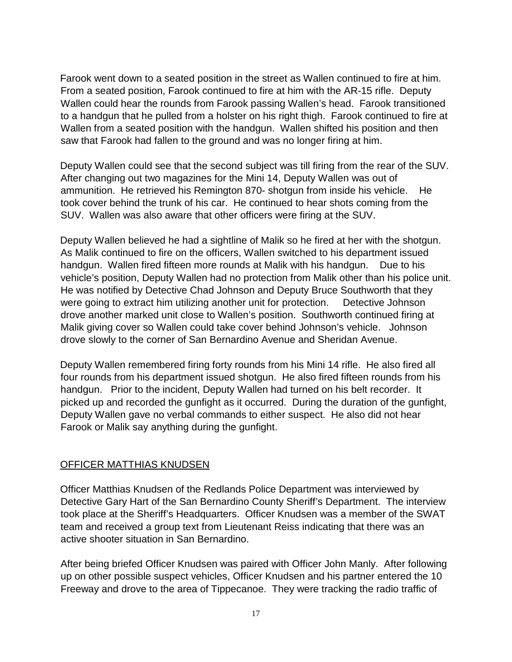Farook went down to a seated position in the street as Wallen continued to fire at him. From a seated position, Farook continued to fire at him with the AR-15 rifle. Deputy Wallen could hear the rounds from Farook passing Wallen's head. Farook transitioned to a handgun that he pulled from a holster on his right thigh. Farook continued to fire at Wallen from a seated position with the handgun. Wallen shifted his position and then saw that Farook had fallen to the ground and was no longer firing at him.

Deputy Wallen could see that the second subject was till firing from the rear of the SUV. After changing out two magazines for the Mini 14, Deputy Wallen was out of ammunition. He retrieved his Remington 870- shotgun from inside his vehicle. He took cover behind the trunk of his car. He continued to hear shots coming from the SUV. Wallen was also aware that other officers were firing at the SUV.

Deputy Wallen believed he had a sightline of Malik so he fired at her with the shotgun. As Malik continued to fire on the officers, Wallen switched to his department issued handgun. Wallen fired fifteen more rounds at Malik with his handgun. Due to his vehicle's position, Deputy Wallen had no protection from Malik other than his police unit. He was notified by Detective Chad Johnson and Deputy Bruce Southworth that they were going to extract him utilizing another unit for protection. Detective Johnson drove another marked unit close to Wallen's position. Southworth continued firing at Malik giving cover so Wallen could take cover behind Johnson's vehicle. Johnson drove slowly to the corner of San Bernardino Avenue and Sheridan Avenue.

Deputy Wallen remembered firing forty rounds from his Mini 14 rifle. He also fired all four rounds from his department issued shotgun. He also fired fifteen rounds from his handgun. Prior to the incident, Deputy Wallen had turned on his belt recorder. It picked up and recorded the gunfight as it occurred. During the duration of the gunfight, Deputy Wallen gave no verbal commands to either suspect. He also did not hear Farook or Malik say anything during the gunfight.

#### OFFICER MATTHIAS KNUDSEN

Officer Matthias Knudsen of the Redlands Police Department was interviewed by Detective Gary Hart of the San Bernardino County Sheriff's Department. The interview took place at the Sheriff's Headquarters. Officer Knudsen was a member of the SWAT team and received a group text from Lieutenant Reiss indicating that there was an active shooter situation in San Bernardino.

After being briefed Officer Knudsen was paired with Officer John Manly. After following up on other possible suspect vehicles, Officer Knudsen and his partner entered the 10 Freeway and drove to the area of Tippecanoe. They were tracking the radio traffic of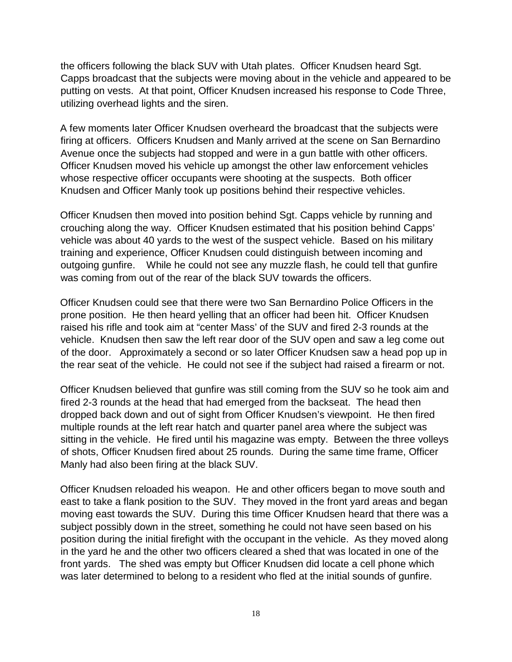the officers following the black SUV with Utah plates. Officer Knudsen heard Sgt. Capps broadcast that the subjects were moving about in the vehicle and appeared to be putting on vests. At that point, Officer Knudsen increased his response to Code Three, utilizing overhead lights and the siren.

A few moments later Officer Knudsen overheard the broadcast that the subjects were firing at officers. Officers Knudsen and Manly arrived at the scene on San Bernardino Avenue once the subjects had stopped and were in a gun battle with other officers. Officer Knudsen moved his vehicle up amongst the other law enforcement vehicles whose respective officer occupants were shooting at the suspects. Both officer Knudsen and Officer Manly took up positions behind their respective vehicles.

Officer Knudsen then moved into position behind Sgt. Capps vehicle by running and crouching along the way. Officer Knudsen estimated that his position behind Capps' vehicle was about 40 yards to the west of the suspect vehicle. Based on his military training and experience, Officer Knudsen could distinguish between incoming and outgoing gunfire. While he could not see any muzzle flash, he could tell that gunfire was coming from out of the rear of the black SUV towards the officers.

Officer Knudsen could see that there were two San Bernardino Police Officers in the prone position. He then heard yelling that an officer had been hit. Officer Knudsen raised his rifle and took aim at "center Mass' of the SUV and fired 2-3 rounds at the vehicle. Knudsen then saw the left rear door of the SUV open and saw a leg come out of the door. Approximately a second or so later Officer Knudsen saw a head pop up in the rear seat of the vehicle. He could not see if the subject had raised a firearm or not.

Officer Knudsen believed that gunfire was still coming from the SUV so he took aim and fired 2-3 rounds at the head that had emerged from the backseat. The head then dropped back down and out of sight from Officer Knudsen's viewpoint. He then fired multiple rounds at the left rear hatch and quarter panel area where the subject was sitting in the vehicle. He fired until his magazine was empty. Between the three volleys of shots, Officer Knudsen fired about 25 rounds. During the same time frame, Officer Manly had also been firing at the black SUV.

Officer Knudsen reloaded his weapon. He and other officers began to move south and east to take a flank position to the SUV. They moved in the front yard areas and began moving east towards the SUV. During this time Officer Knudsen heard that there was a subject possibly down in the street, something he could not have seen based on his position during the initial firefight with the occupant in the vehicle. As they moved along in the yard he and the other two officers cleared a shed that was located in one of the front yards. The shed was empty but Officer Knudsen did locate a cell phone which was later determined to belong to a resident who fled at the initial sounds of gunfire.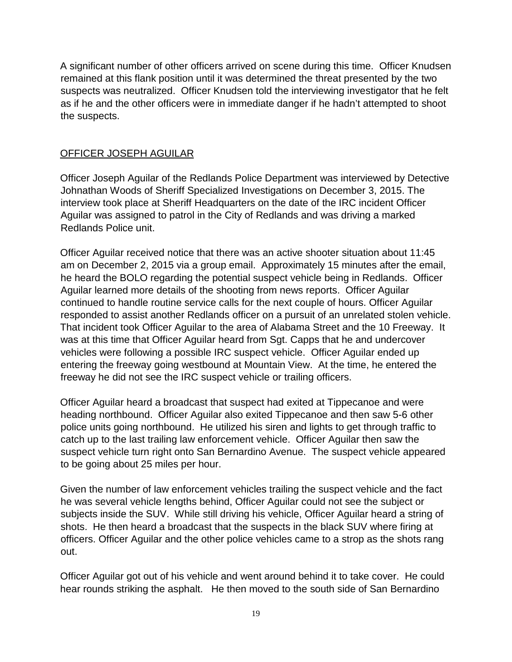A significant number of other officers arrived on scene during this time. Officer Knudsen remained at this flank position until it was determined the threat presented by the two suspects was neutralized. Officer Knudsen told the interviewing investigator that he felt as if he and the other officers were in immediate danger if he hadn't attempted to shoot the suspects.

## OFFICER JOSEPH AGUILAR

Officer Joseph Aguilar of the Redlands Police Department was interviewed by Detective Johnathan Woods of Sheriff Specialized Investigations on December 3, 2015. The interview took place at Sheriff Headquarters on the date of the IRC incident Officer Aguilar was assigned to patrol in the City of Redlands and was driving a marked Redlands Police unit.

Officer Aguilar received notice that there was an active shooter situation about 11:45 am on December 2, 2015 via a group email. Approximately 15 minutes after the email, he heard the BOLO regarding the potential suspect vehicle being in Redlands. Officer Aguilar learned more details of the shooting from news reports. Officer Aguilar continued to handle routine service calls for the next couple of hours. Officer Aguilar responded to assist another Redlands officer on a pursuit of an unrelated stolen vehicle. That incident took Officer Aguilar to the area of Alabama Street and the 10 Freeway. It was at this time that Officer Aguilar heard from Sgt. Capps that he and undercover vehicles were following a possible IRC suspect vehicle. Officer Aguilar ended up entering the freeway going westbound at Mountain View. At the time, he entered the freeway he did not see the IRC suspect vehicle or trailing officers.

Officer Aguilar heard a broadcast that suspect had exited at Tippecanoe and were heading northbound. Officer Aguilar also exited Tippecanoe and then saw 5-6 other police units going northbound. He utilized his siren and lights to get through traffic to catch up to the last trailing law enforcement vehicle. Officer Aguilar then saw the suspect vehicle turn right onto San Bernardino Avenue. The suspect vehicle appeared to be going about 25 miles per hour.

Given the number of law enforcement vehicles trailing the suspect vehicle and the fact he was several vehicle lengths behind, Officer Aguilar could not see the subject or subjects inside the SUV. While still driving his vehicle, Officer Aguilar heard a string of shots. He then heard a broadcast that the suspects in the black SUV where firing at officers. Officer Aguilar and the other police vehicles came to a strop as the shots rang out.

Officer Aguilar got out of his vehicle and went around behind it to take cover. He could hear rounds striking the asphalt. He then moved to the south side of San Bernardino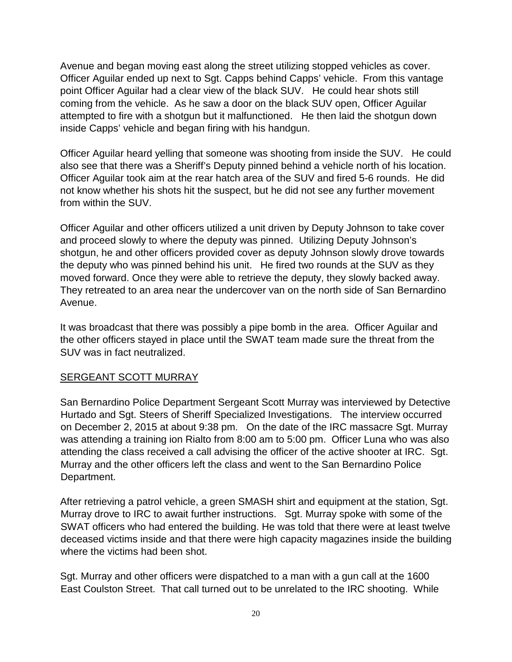Avenue and began moving east along the street utilizing stopped vehicles as cover. Officer Aguilar ended up next to Sgt. Capps behind Capps' vehicle. From this vantage point Officer Aguilar had a clear view of the black SUV. He could hear shots still coming from the vehicle. As he saw a door on the black SUV open, Officer Aguilar attempted to fire with a shotgun but it malfunctioned. He then laid the shotgun down inside Capps' vehicle and began firing with his handgun.

Officer Aguilar heard yelling that someone was shooting from inside the SUV. He could also see that there was a Sheriff's Deputy pinned behind a vehicle north of his location. Officer Aguilar took aim at the rear hatch area of the SUV and fired 5-6 rounds. He did not know whether his shots hit the suspect, but he did not see any further movement from within the SUV.

Officer Aguilar and other officers utilized a unit driven by Deputy Johnson to take cover and proceed slowly to where the deputy was pinned. Utilizing Deputy Johnson's shotgun, he and other officers provided cover as deputy Johnson slowly drove towards the deputy who was pinned behind his unit. He fired two rounds at the SUV as they moved forward. Once they were able to retrieve the deputy, they slowly backed away. They retreated to an area near the undercover van on the north side of San Bernardino Avenue.

It was broadcast that there was possibly a pipe bomb in the area. Officer Aguilar and the other officers stayed in place until the SWAT team made sure the threat from the SUV was in fact neutralized.

## SERGEANT SCOTT MURRAY

San Bernardino Police Department Sergeant Scott Murray was interviewed by Detective Hurtado and Sgt. Steers of Sheriff Specialized Investigations. The interview occurred on December 2, 2015 at about 9:38 pm. On the date of the IRC massacre Sgt. Murray was attending a training ion Rialto from 8:00 am to 5:00 pm. Officer Luna who was also attending the class received a call advising the officer of the active shooter at IRC. Sgt. Murray and the other officers left the class and went to the San Bernardino Police Department.

After retrieving a patrol vehicle, a green SMASH shirt and equipment at the station, Sgt. Murray drove to IRC to await further instructions. Sgt. Murray spoke with some of the SWAT officers who had entered the building. He was told that there were at least twelve deceased victims inside and that there were high capacity magazines inside the building where the victims had been shot.

Sgt. Murray and other officers were dispatched to a man with a gun call at the 1600 East Coulston Street. That call turned out to be unrelated to the IRC shooting. While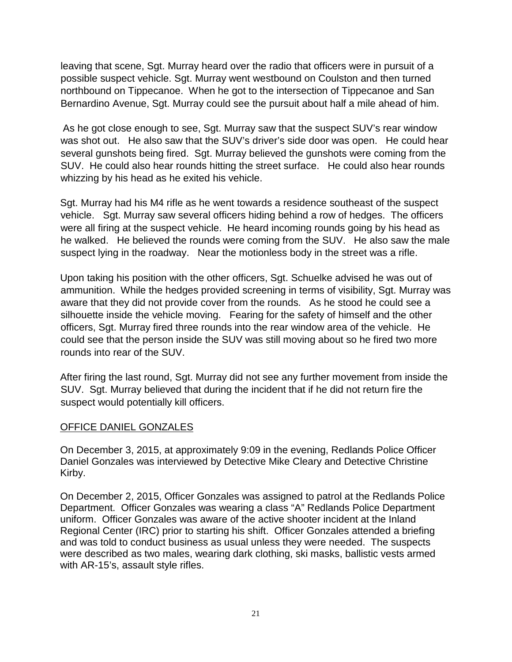leaving that scene, Sgt. Murray heard over the radio that officers were in pursuit of a possible suspect vehicle. Sgt. Murray went westbound on Coulston and then turned northbound on Tippecanoe. When he got to the intersection of Tippecanoe and San Bernardino Avenue, Sgt. Murray could see the pursuit about half a mile ahead of him.

As he got close enough to see, Sgt. Murray saw that the suspect SUV's rear window was shot out. He also saw that the SUV's driver's side door was open. He could hear several gunshots being fired. Sgt. Murray believed the gunshots were coming from the SUV. He could also hear rounds hitting the street surface. He could also hear rounds whizzing by his head as he exited his vehicle.

Sgt. Murray had his M4 rifle as he went towards a residence southeast of the suspect vehicle. Sgt. Murray saw several officers hiding behind a row of hedges. The officers were all firing at the suspect vehicle. He heard incoming rounds going by his head as he walked. He believed the rounds were coming from the SUV. He also saw the male suspect lying in the roadway. Near the motionless body in the street was a rifle.

Upon taking his position with the other officers, Sgt. Schuelke advised he was out of ammunition. While the hedges provided screening in terms of visibility, Sgt. Murray was aware that they did not provide cover from the rounds. As he stood he could see a silhouette inside the vehicle moving. Fearing for the safety of himself and the other officers, Sgt. Murray fired three rounds into the rear window area of the vehicle. He could see that the person inside the SUV was still moving about so he fired two more rounds into rear of the SUV.

After firing the last round, Sgt. Murray did not see any further movement from inside the SUV. Sgt. Murray believed that during the incident that if he did not return fire the suspect would potentially kill officers.

#### OFFICE DANIEL GONZALES

On December 3, 2015, at approximately 9:09 in the evening, Redlands Police Officer Daniel Gonzales was interviewed by Detective Mike Cleary and Detective Christine Kirby.

On December 2, 2015, Officer Gonzales was assigned to patrol at the Redlands Police Department. Officer Gonzales was wearing a class "A" Redlands Police Department uniform. Officer Gonzales was aware of the active shooter incident at the Inland Regional Center (IRC) prior to starting his shift. Officer Gonzales attended a briefing and was told to conduct business as usual unless they were needed. The suspects were described as two males, wearing dark clothing, ski masks, ballistic vests armed with AR-15's, assault style rifles.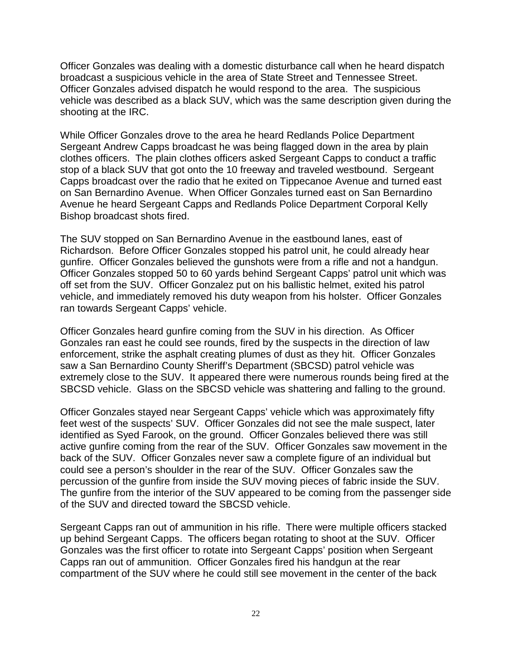Officer Gonzales was dealing with a domestic disturbance call when he heard dispatch broadcast a suspicious vehicle in the area of State Street and Tennessee Street. Officer Gonzales advised dispatch he would respond to the area. The suspicious vehicle was described as a black SUV, which was the same description given during the shooting at the IRC.

While Officer Gonzales drove to the area he heard Redlands Police Department Sergeant Andrew Capps broadcast he was being flagged down in the area by plain clothes officers. The plain clothes officers asked Sergeant Capps to conduct a traffic stop of a black SUV that got onto the 10 freeway and traveled westbound. Sergeant Capps broadcast over the radio that he exited on Tippecanoe Avenue and turned east on San Bernardino Avenue. When Officer Gonzales turned east on San Bernardino Avenue he heard Sergeant Capps and Redlands Police Department Corporal Kelly Bishop broadcast shots fired.

The SUV stopped on San Bernardino Avenue in the eastbound lanes, east of Richardson. Before Officer Gonzales stopped his patrol unit, he could already hear gunfire. Officer Gonzales believed the gunshots were from a rifle and not a handgun. Officer Gonzales stopped 50 to 60 yards behind Sergeant Capps' patrol unit which was off set from the SUV. Officer Gonzalez put on his ballistic helmet, exited his patrol vehicle, and immediately removed his duty weapon from his holster. Officer Gonzales ran towards Sergeant Capps' vehicle.

Officer Gonzales heard gunfire coming from the SUV in his direction. As Officer Gonzales ran east he could see rounds, fired by the suspects in the direction of law enforcement, strike the asphalt creating plumes of dust as they hit. Officer Gonzales saw a San Bernardino County Sheriff's Department (SBCSD) patrol vehicle was extremely close to the SUV. It appeared there were numerous rounds being fired at the SBCSD vehicle. Glass on the SBCSD vehicle was shattering and falling to the ground.

Officer Gonzales stayed near Sergeant Capps' vehicle which was approximately fifty feet west of the suspects' SUV. Officer Gonzales did not see the male suspect, later identified as Syed Farook, on the ground. Officer Gonzales believed there was still active gunfire coming from the rear of the SUV. Officer Gonzales saw movement in the back of the SUV. Officer Gonzales never saw a complete figure of an individual but could see a person's shoulder in the rear of the SUV. Officer Gonzales saw the percussion of the gunfire from inside the SUV moving pieces of fabric inside the SUV. The gunfire from the interior of the SUV appeared to be coming from the passenger side of the SUV and directed toward the SBCSD vehicle.

Sergeant Capps ran out of ammunition in his rifle. There were multiple officers stacked up behind Sergeant Capps. The officers began rotating to shoot at the SUV. Officer Gonzales was the first officer to rotate into Sergeant Capps' position when Sergeant Capps ran out of ammunition. Officer Gonzales fired his handgun at the rear compartment of the SUV where he could still see movement in the center of the back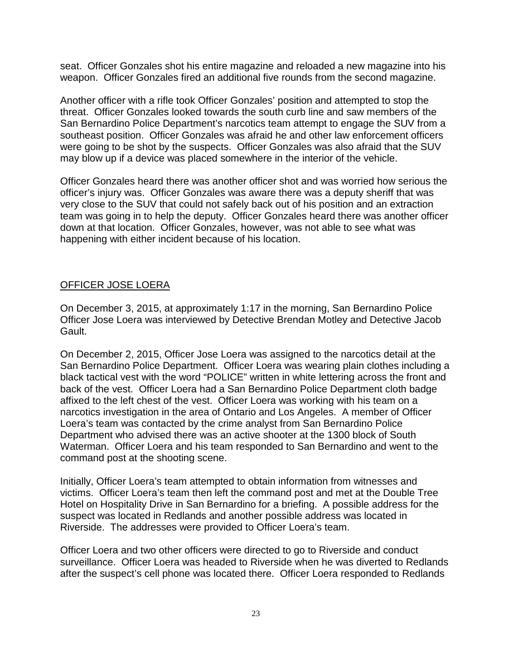seat. Officer Gonzales shot his entire magazine and reloaded a new magazine into his weapon. Officer Gonzales fired an additional five rounds from the second magazine.

Another officer with a rifle took Officer Gonzales' position and attempted to stop the threat. Officer Gonzales looked towards the south curb line and saw members of the San Bernardino Police Department's narcotics team attempt to engage the SUV from a southeast position. Officer Gonzales was afraid he and other law enforcement officers were going to be shot by the suspects. Officer Gonzales was also afraid that the SUV may blow up if a device was placed somewhere in the interior of the vehicle.

Officer Gonzales heard there was another officer shot and was worried how serious the officer's injury was. Officer Gonzales was aware there was a deputy sheriff that was very close to the SUV that could not safely back out of his position and an extraction team was going in to help the deputy. Officer Gonzales heard there was another officer down at that location. Officer Gonzales, however, was not able to see what was happening with either incident because of his location.

## OFFICER JOSE LOERA

On December 3, 2015, at approximately 1:17 in the morning, San Bernardino Police Officer Jose Loera was interviewed by Detective Brendan Motley and Detective Jacob Gault.

On December 2, 2015, Officer Jose Loera was assigned to the narcotics detail at the San Bernardino Police Department. Officer Loera was wearing plain clothes including a black tactical vest with the word "POLICE" written in white lettering across the front and back of the vest. Officer Loera had a San Bernardino Police Department cloth badge affixed to the left chest of the vest. Officer Loera was working with his team on a narcotics investigation in the area of Ontario and Los Angeles. A member of Officer Loera's team was contacted by the crime analyst from San Bernardino Police Department who advised there was an active shooter at the 1300 block of South Waterman. Officer Loera and his team responded to San Bernardino and went to the command post at the shooting scene.

Initially, Officer Loera's team attempted to obtain information from witnesses and victims. Officer Loera's team then left the command post and met at the Double Tree Hotel on Hospitality Drive in San Bernardino for a briefing. A possible address for the suspect was located in Redlands and another possible address was located in Riverside. The addresses were provided to Officer Loera's team.

Officer Loera and two other officers were directed to go to Riverside and conduct surveillance. Officer Loera was headed to Riverside when he was diverted to Redlands after the suspect's cell phone was located there. Officer Loera responded to Redlands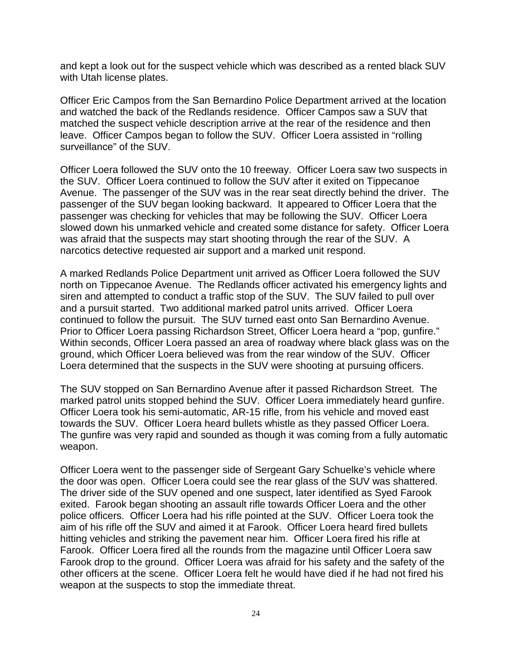and kept a look out for the suspect vehicle which was described as a rented black SUV with Utah license plates.

Officer Eric Campos from the San Bernardino Police Department arrived at the location and watched the back of the Redlands residence. Officer Campos saw a SUV that matched the suspect vehicle description arrive at the rear of the residence and then leave. Officer Campos began to follow the SUV. Officer Loera assisted in "rolling surveillance" of the SUV.

Officer Loera followed the SUV onto the 10 freeway. Officer Loera saw two suspects in the SUV. Officer Loera continued to follow the SUV after it exited on Tippecanoe Avenue. The passenger of the SUV was in the rear seat directly behind the driver. The passenger of the SUV began looking backward. It appeared to Officer Loera that the passenger was checking for vehicles that may be following the SUV. Officer Loera slowed down his unmarked vehicle and created some distance for safety. Officer Loera was afraid that the suspects may start shooting through the rear of the SUV. A narcotics detective requested air support and a marked unit respond.

A marked Redlands Police Department unit arrived as Officer Loera followed the SUV north on Tippecanoe Avenue. The Redlands officer activated his emergency lights and siren and attempted to conduct a traffic stop of the SUV. The SUV failed to pull over and a pursuit started. Two additional marked patrol units arrived. Officer Loera continued to follow the pursuit. The SUV turned east onto San Bernardino Avenue. Prior to Officer Loera passing Richardson Street, Officer Loera heard a "pop, gunfire." Within seconds, Officer Loera passed an area of roadway where black glass was on the ground, which Officer Loera believed was from the rear window of the SUV. Officer Loera determined that the suspects in the SUV were shooting at pursuing officers.

The SUV stopped on San Bernardino Avenue after it passed Richardson Street. The marked patrol units stopped behind the SUV. Officer Loera immediately heard gunfire. Officer Loera took his semi-automatic, AR-15 rifle, from his vehicle and moved east towards the SUV. Officer Loera heard bullets whistle as they passed Officer Loera. The gunfire was very rapid and sounded as though it was coming from a fully automatic weapon.

Officer Loera went to the passenger side of Sergeant Gary Schuelke's vehicle where the door was open. Officer Loera could see the rear glass of the SUV was shattered. The driver side of the SUV opened and one suspect, later identified as Syed Farook exited. Farook began shooting an assault rifle towards Officer Loera and the other police officers. Officer Loera had his rifle pointed at the SUV. Officer Loera took the aim of his rifle off the SUV and aimed it at Farook. Officer Loera heard fired bullets hitting vehicles and striking the pavement near him. Officer Loera fired his rifle at Farook. Officer Loera fired all the rounds from the magazine until Officer Loera saw Farook drop to the ground. Officer Loera was afraid for his safety and the safety of the other officers at the scene. Officer Loera felt he would have died if he had not fired his weapon at the suspects to stop the immediate threat.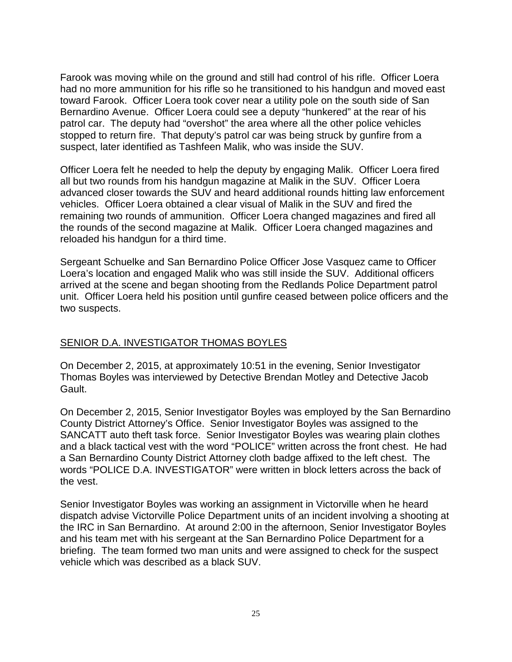Farook was moving while on the ground and still had control of his rifle. Officer Loera had no more ammunition for his rifle so he transitioned to his handgun and moved east toward Farook. Officer Loera took cover near a utility pole on the south side of San Bernardino Avenue. Officer Loera could see a deputy "hunkered" at the rear of his patrol car. The deputy had "overshot" the area where all the other police vehicles stopped to return fire. That deputy's patrol car was being struck by gunfire from a suspect, later identified as Tashfeen Malik, who was inside the SUV.

Officer Loera felt he needed to help the deputy by engaging Malik. Officer Loera fired all but two rounds from his handgun magazine at Malik in the SUV. Officer Loera advanced closer towards the SUV and heard additional rounds hitting law enforcement vehicles. Officer Loera obtained a clear visual of Malik in the SUV and fired the remaining two rounds of ammunition. Officer Loera changed magazines and fired all the rounds of the second magazine at Malik. Officer Loera changed magazines and reloaded his handgun for a third time.

Sergeant Schuelke and San Bernardino Police Officer Jose Vasquez came to Officer Loera's location and engaged Malik who was still inside the SUV. Additional officers arrived at the scene and began shooting from the Redlands Police Department patrol unit. Officer Loera held his position until gunfire ceased between police officers and the two suspects.

## SENIOR D.A. INVESTIGATOR THOMAS BOYLES

On December 2, 2015, at approximately 10:51 in the evening, Senior Investigator Thomas Boyles was interviewed by Detective Brendan Motley and Detective Jacob Gault.

On December 2, 2015, Senior Investigator Boyles was employed by the San Bernardino County District Attorney's Office. Senior Investigator Boyles was assigned to the SANCATT auto theft task force. Senior Investigator Boyles was wearing plain clothes and a black tactical vest with the word "POLICE" written across the front chest. He had a San Bernardino County District Attorney cloth badge affixed to the left chest. The words "POLICE D.A. INVESTIGATOR" were written in block letters across the back of the vest.

Senior Investigator Boyles was working an assignment in Victorville when he heard dispatch advise Victorville Police Department units of an incident involving a shooting at the IRC in San Bernardino. At around 2:00 in the afternoon, Senior Investigator Boyles and his team met with his sergeant at the San Bernardino Police Department for a briefing. The team formed two man units and were assigned to check for the suspect vehicle which was described as a black SUV.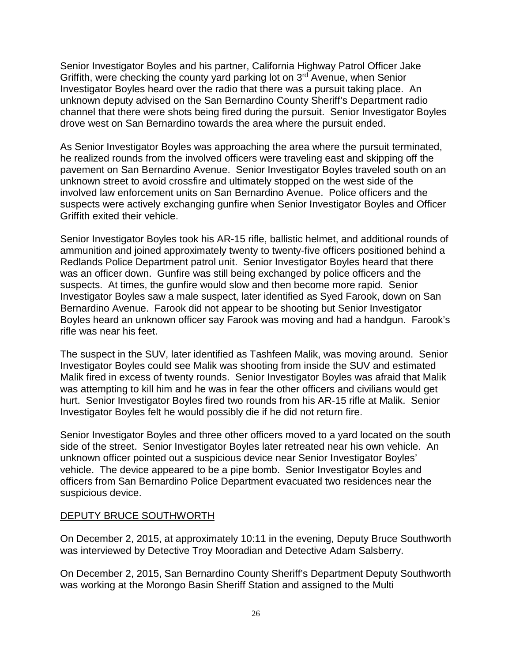Senior Investigator Boyles and his partner, California Highway Patrol Officer Jake Griffith, were checking the county yard parking lot on 3rd Avenue, when Senior Investigator Boyles heard over the radio that there was a pursuit taking place. An unknown deputy advised on the San Bernardino County Sheriff's Department radio channel that there were shots being fired during the pursuit. Senior Investigator Boyles drove west on San Bernardino towards the area where the pursuit ended.

As Senior Investigator Boyles was approaching the area where the pursuit terminated, he realized rounds from the involved officers were traveling east and skipping off the pavement on San Bernardino Avenue. Senior Investigator Boyles traveled south on an unknown street to avoid crossfire and ultimately stopped on the west side of the involved law enforcement units on San Bernardino Avenue. Police officers and the suspects were actively exchanging gunfire when Senior Investigator Boyles and Officer Griffith exited their vehicle.

Senior Investigator Boyles took his AR-15 rifle, ballistic helmet, and additional rounds of ammunition and joined approximately twenty to twenty-five officers positioned behind a Redlands Police Department patrol unit. Senior Investigator Boyles heard that there was an officer down. Gunfire was still being exchanged by police officers and the suspects. At times, the gunfire would slow and then become more rapid. Senior Investigator Boyles saw a male suspect, later identified as Syed Farook, down on San Bernardino Avenue. Farook did not appear to be shooting but Senior Investigator Boyles heard an unknown officer say Farook was moving and had a handgun. Farook's rifle was near his feet.

The suspect in the SUV, later identified as Tashfeen Malik, was moving around. Senior Investigator Boyles could see Malik was shooting from inside the SUV and estimated Malik fired in excess of twenty rounds. Senior Investigator Boyles was afraid that Malik was attempting to kill him and he was in fear the other officers and civilians would get hurt. Senior Investigator Boyles fired two rounds from his AR-15 rifle at Malik. Senior Investigator Boyles felt he would possibly die if he did not return fire.

Senior Investigator Boyles and three other officers moved to a yard located on the south side of the street. Senior Investigator Boyles later retreated near his own vehicle. An unknown officer pointed out a suspicious device near Senior Investigator Boyles' vehicle. The device appeared to be a pipe bomb. Senior Investigator Boyles and officers from San Bernardino Police Department evacuated two residences near the suspicious device.

#### DEPUTY BRUCE SOUTHWORTH

On December 2, 2015, at approximately 10:11 in the evening, Deputy Bruce Southworth was interviewed by Detective Troy Mooradian and Detective Adam Salsberry.

On December 2, 2015, San Bernardino County Sheriff's Department Deputy Southworth was working at the Morongo Basin Sheriff Station and assigned to the Multi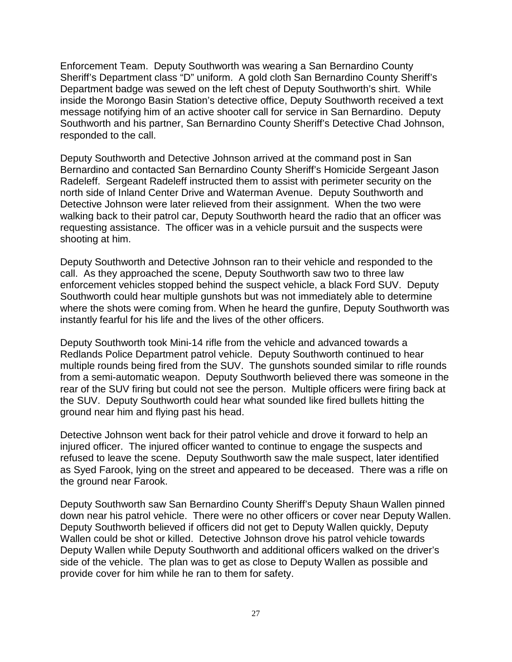Enforcement Team. Deputy Southworth was wearing a San Bernardino County Sheriff's Department class "D" uniform. A gold cloth San Bernardino County Sheriff's Department badge was sewed on the left chest of Deputy Southworth's shirt. While inside the Morongo Basin Station's detective office, Deputy Southworth received a text message notifying him of an active shooter call for service in San Bernardino. Deputy Southworth and his partner, San Bernardino County Sheriff's Detective Chad Johnson, responded to the call.

Deputy Southworth and Detective Johnson arrived at the command post in San Bernardino and contacted San Bernardino County Sheriff's Homicide Sergeant Jason Radeleff. Sergeant Radeleff instructed them to assist with perimeter security on the north side of Inland Center Drive and Waterman Avenue. Deputy Southworth and Detective Johnson were later relieved from their assignment. When the two were walking back to their patrol car, Deputy Southworth heard the radio that an officer was requesting assistance. The officer was in a vehicle pursuit and the suspects were shooting at him.

Deputy Southworth and Detective Johnson ran to their vehicle and responded to the call. As they approached the scene, Deputy Southworth saw two to three law enforcement vehicles stopped behind the suspect vehicle, a black Ford SUV. Deputy Southworth could hear multiple gunshots but was not immediately able to determine where the shots were coming from. When he heard the gunfire, Deputy Southworth was instantly fearful for his life and the lives of the other officers.

Deputy Southworth took Mini-14 rifle from the vehicle and advanced towards a Redlands Police Department patrol vehicle. Deputy Southworth continued to hear multiple rounds being fired from the SUV. The gunshots sounded similar to rifle rounds from a semi-automatic weapon. Deputy Southworth believed there was someone in the rear of the SUV firing but could not see the person. Multiple officers were firing back at the SUV. Deputy Southworth could hear what sounded like fired bullets hitting the ground near him and flying past his head.

Detective Johnson went back for their patrol vehicle and drove it forward to help an injured officer. The injured officer wanted to continue to engage the suspects and refused to leave the scene. Deputy Southworth saw the male suspect, later identified as Syed Farook, lying on the street and appeared to be deceased. There was a rifle on the ground near Farook.

Deputy Southworth saw San Bernardino County Sheriff's Deputy Shaun Wallen pinned down near his patrol vehicle. There were no other officers or cover near Deputy Wallen. Deputy Southworth believed if officers did not get to Deputy Wallen quickly, Deputy Wallen could be shot or killed. Detective Johnson drove his patrol vehicle towards Deputy Wallen while Deputy Southworth and additional officers walked on the driver's side of the vehicle. The plan was to get as close to Deputy Wallen as possible and provide cover for him while he ran to them for safety.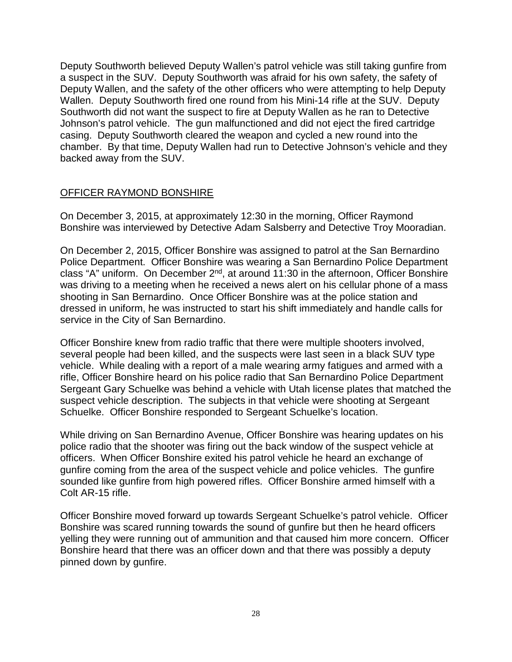Deputy Southworth believed Deputy Wallen's patrol vehicle was still taking gunfire from a suspect in the SUV. Deputy Southworth was afraid for his own safety, the safety of Deputy Wallen, and the safety of the other officers who were attempting to help Deputy Wallen. Deputy Southworth fired one round from his Mini-14 rifle at the SUV. Deputy Southworth did not want the suspect to fire at Deputy Wallen as he ran to Detective Johnson's patrol vehicle. The gun malfunctioned and did not eject the fired cartridge casing. Deputy Southworth cleared the weapon and cycled a new round into the chamber. By that time, Deputy Wallen had run to Detective Johnson's vehicle and they backed away from the SUV.

#### OFFICER RAYMOND BONSHIRE

On December 3, 2015, at approximately 12:30 in the morning, Officer Raymond Bonshire was interviewed by Detective Adam Salsberry and Detective Troy Mooradian.

On December 2, 2015, Officer Bonshire was assigned to patrol at the San Bernardino Police Department. Officer Bonshire was wearing a San Bernardino Police Department class "A" uniform. On December 2<sup>nd</sup>, at around 11:30 in the afternoon, Officer Bonshire was driving to a meeting when he received a news alert on his cellular phone of a mass shooting in San Bernardino. Once Officer Bonshire was at the police station and dressed in uniform, he was instructed to start his shift immediately and handle calls for service in the City of San Bernardino.

Officer Bonshire knew from radio traffic that there were multiple shooters involved, several people had been killed, and the suspects were last seen in a black SUV type vehicle. While dealing with a report of a male wearing army fatigues and armed with a rifle, Officer Bonshire heard on his police radio that San Bernardino Police Department Sergeant Gary Schuelke was behind a vehicle with Utah license plates that matched the suspect vehicle description. The subjects in that vehicle were shooting at Sergeant Schuelke. Officer Bonshire responded to Sergeant Schuelke's location.

While driving on San Bernardino Avenue, Officer Bonshire was hearing updates on his police radio that the shooter was firing out the back window of the suspect vehicle at officers. When Officer Bonshire exited his patrol vehicle he heard an exchange of gunfire coming from the area of the suspect vehicle and police vehicles. The gunfire sounded like gunfire from high powered rifles. Officer Bonshire armed himself with a Colt AR-15 rifle.

Officer Bonshire moved forward up towards Sergeant Schuelke's patrol vehicle. Officer Bonshire was scared running towards the sound of gunfire but then he heard officers yelling they were running out of ammunition and that caused him more concern. Officer Bonshire heard that there was an officer down and that there was possibly a deputy pinned down by gunfire.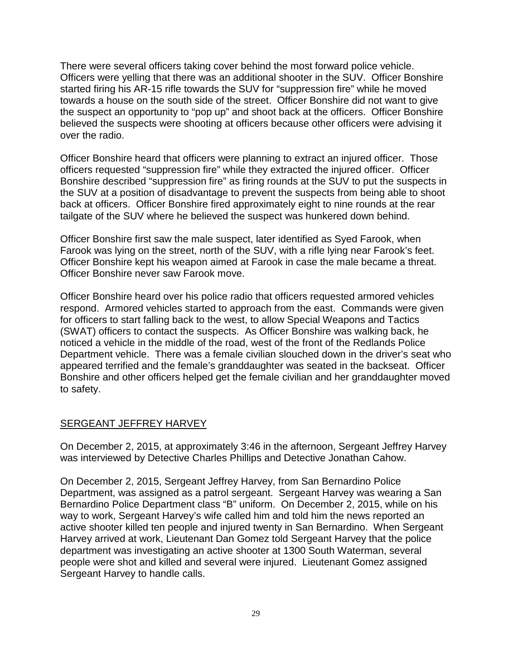There were several officers taking cover behind the most forward police vehicle. Officers were yelling that there was an additional shooter in the SUV. Officer Bonshire started firing his AR-15 rifle towards the SUV for "suppression fire" while he moved towards a house on the south side of the street. Officer Bonshire did not want to give the suspect an opportunity to "pop up" and shoot back at the officers. Officer Bonshire believed the suspects were shooting at officers because other officers were advising it over the radio.

Officer Bonshire heard that officers were planning to extract an injured officer. Those officers requested "suppression fire" while they extracted the injured officer. Officer Bonshire described "suppression fire" as firing rounds at the SUV to put the suspects in the SUV at a position of disadvantage to prevent the suspects from being able to shoot back at officers. Officer Bonshire fired approximately eight to nine rounds at the rear tailgate of the SUV where he believed the suspect was hunkered down behind.

Officer Bonshire first saw the male suspect, later identified as Syed Farook, when Farook was lying on the street, north of the SUV, with a rifle lying near Farook's feet. Officer Bonshire kept his weapon aimed at Farook in case the male became a threat. Officer Bonshire never saw Farook move.

Officer Bonshire heard over his police radio that officers requested armored vehicles respond. Armored vehicles started to approach from the east. Commands were given for officers to start falling back to the west, to allow Special Weapons and Tactics (SWAT) officers to contact the suspects. As Officer Bonshire was walking back, he noticed a vehicle in the middle of the road, west of the front of the Redlands Police Department vehicle. There was a female civilian slouched down in the driver's seat who appeared terrified and the female's granddaughter was seated in the backseat. Officer Bonshire and other officers helped get the female civilian and her granddaughter moved to safety.

#### SERGEANT JEFFREY HARVEY

On December 2, 2015, at approximately 3:46 in the afternoon, Sergeant Jeffrey Harvey was interviewed by Detective Charles Phillips and Detective Jonathan Cahow.

On December 2, 2015, Sergeant Jeffrey Harvey, from San Bernardino Police Department, was assigned as a patrol sergeant. Sergeant Harvey was wearing a San Bernardino Police Department class "B" uniform. On December 2, 2015, while on his way to work, Sergeant Harvey's wife called him and told him the news reported an active shooter killed ten people and injured twenty in San Bernardino. When Sergeant Harvey arrived at work, Lieutenant Dan Gomez told Sergeant Harvey that the police department was investigating an active shooter at 1300 South Waterman, several people were shot and killed and several were injured. Lieutenant Gomez assigned Sergeant Harvey to handle calls.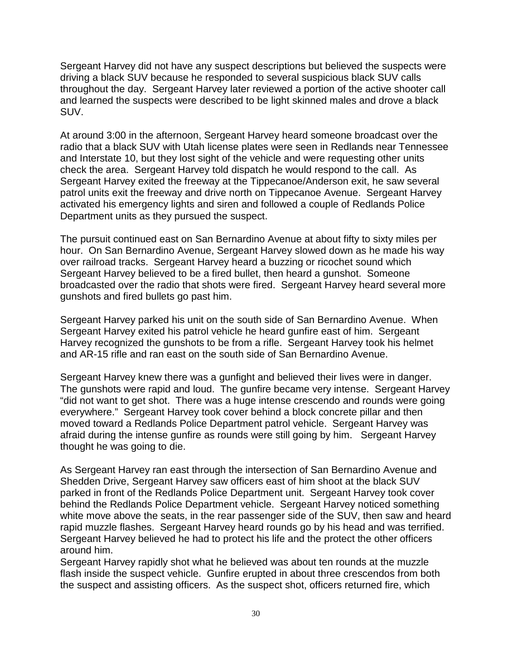Sergeant Harvey did not have any suspect descriptions but believed the suspects were driving a black SUV because he responded to several suspicious black SUV calls throughout the day. Sergeant Harvey later reviewed a portion of the active shooter call and learned the suspects were described to be light skinned males and drove a black SUV.

At around 3:00 in the afternoon, Sergeant Harvey heard someone broadcast over the radio that a black SUV with Utah license plates were seen in Redlands near Tennessee and Interstate 10, but they lost sight of the vehicle and were requesting other units check the area. Sergeant Harvey told dispatch he would respond to the call. As Sergeant Harvey exited the freeway at the Tippecanoe/Anderson exit, he saw several patrol units exit the freeway and drive north on Tippecanoe Avenue. Sergeant Harvey activated his emergency lights and siren and followed a couple of Redlands Police Department units as they pursued the suspect.

The pursuit continued east on San Bernardino Avenue at about fifty to sixty miles per hour. On San Bernardino Avenue, Sergeant Harvey slowed down as he made his way over railroad tracks. Sergeant Harvey heard a buzzing or ricochet sound which Sergeant Harvey believed to be a fired bullet, then heard a gunshot. Someone broadcasted over the radio that shots were fired. Sergeant Harvey heard several more gunshots and fired bullets go past him.

Sergeant Harvey parked his unit on the south side of San Bernardino Avenue. When Sergeant Harvey exited his patrol vehicle he heard gunfire east of him. Sergeant Harvey recognized the gunshots to be from a rifle. Sergeant Harvey took his helmet and AR-15 rifle and ran east on the south side of San Bernardino Avenue.

Sergeant Harvey knew there was a gunfight and believed their lives were in danger. The gunshots were rapid and loud. The gunfire became very intense. Sergeant Harvey "did not want to get shot. There was a huge intense crescendo and rounds were going everywhere." Sergeant Harvey took cover behind a block concrete pillar and then moved toward a Redlands Police Department patrol vehicle. Sergeant Harvey was afraid during the intense gunfire as rounds were still going by him. Sergeant Harvey thought he was going to die.

As Sergeant Harvey ran east through the intersection of San Bernardino Avenue and Shedden Drive, Sergeant Harvey saw officers east of him shoot at the black SUV parked in front of the Redlands Police Department unit. Sergeant Harvey took cover behind the Redlands Police Department vehicle. Sergeant Harvey noticed something white move above the seats, in the rear passenger side of the SUV, then saw and heard rapid muzzle flashes. Sergeant Harvey heard rounds go by his head and was terrified. Sergeant Harvey believed he had to protect his life and the protect the other officers around him.

Sergeant Harvey rapidly shot what he believed was about ten rounds at the muzzle flash inside the suspect vehicle. Gunfire erupted in about three crescendos from both the suspect and assisting officers. As the suspect shot, officers returned fire, which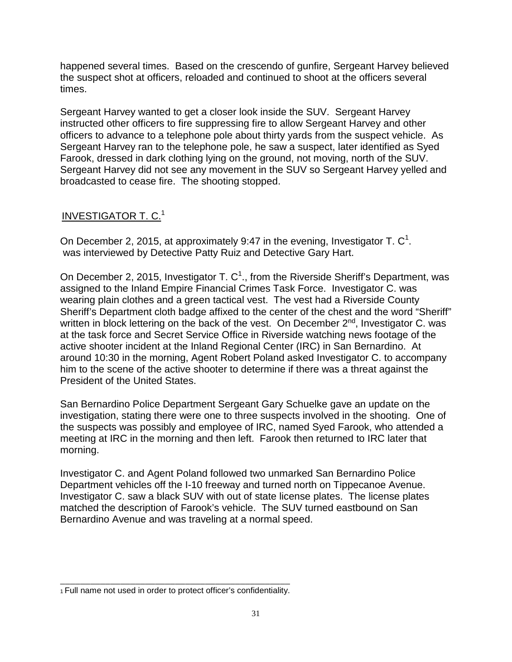happened several times. Based on the crescendo of gunfire, Sergeant Harvey believed the suspect shot at officers, reloaded and continued to shoot at the officers several times.

Sergeant Harvey wanted to get a closer look inside the SUV. Sergeant Harvey instructed other officers to fire suppressing fire to allow Sergeant Harvey and other officers to advance to a telephone pole about thirty yards from the suspect vehicle. As Sergeant Harvey ran to the telephone pole, he saw a suspect, later identified as Syed Farook, dressed in dark clothing lying on the ground, not moving, north of the SUV. Sergeant Harvey did not see any movement in the SUV so Sergeant Harvey yelled and broadcasted to cease fire. The shooting stopped.

## INVESTIGATOR T. C.<sup>1</sup>

On December 2, 2015, at approximately 9:47 in the evening, Investigator T.  $\textsf{C}^1$ . was interviewed by Detective Patty Ruiz and Detective Gary Hart.

On December 2, 2015, Investigator T. C<sup>1</sup>., from the Riverside Sheriff's Department, was assigned to the Inland Empire Financial Crimes Task Force. Investigator C. was wearing plain clothes and a green tactical vest. The vest had a Riverside County Sheriff's Department cloth badge affixed to the center of the chest and the word "Sheriff" written in block lettering on the back of the vest. On December 2<sup>nd</sup>, Investigator C. was at the task force and Secret Service Office in Riverside watching news footage of the active shooter incident at the Inland Regional Center (IRC) in San Bernardino. At around 10:30 in the morning, Agent Robert Poland asked Investigator C. to accompany him to the scene of the active shooter to determine if there was a threat against the President of the United States.

San Bernardino Police Department Sergeant Gary Schuelke gave an update on the investigation, stating there were one to three suspects involved in the shooting. One of the suspects was possibly and employee of IRC, named Syed Farook, who attended a meeting at IRC in the morning and then left. Farook then returned to IRC later that morning.

Investigator C. and Agent Poland followed two unmarked San Bernardino Police Department vehicles off the I-10 freeway and turned north on Tippecanoe Avenue. Investigator C. saw a black SUV with out of state license plates. The license plates matched the description of Farook's vehicle. The SUV turned eastbound on San Bernardino Avenue and was traveling at a normal speed.

\_\_\_\_\_\_\_\_\_\_\_\_\_\_\_\_\_\_\_\_\_\_\_\_\_\_\_\_\_\_\_\_\_\_\_\_\_\_\_\_\_\_\_\_\_\_ 1 Full name not used in order to protect officer's confidentiality.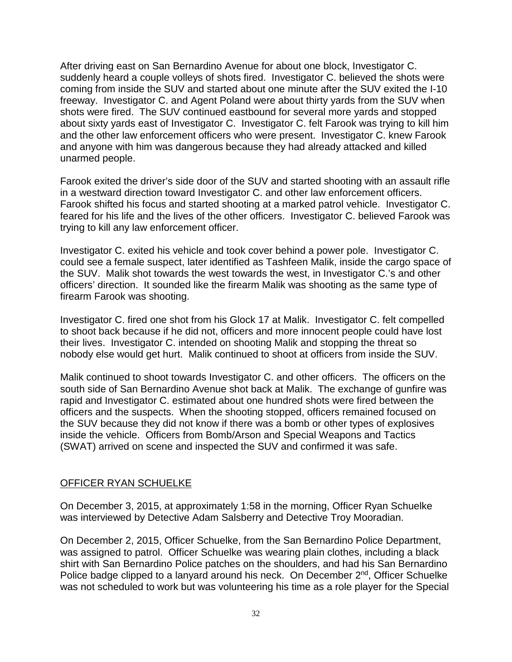After driving east on San Bernardino Avenue for about one block, Investigator C. suddenly heard a couple volleys of shots fired. Investigator C. believed the shots were coming from inside the SUV and started about one minute after the SUV exited the I-10 freeway. Investigator C. and Agent Poland were about thirty yards from the SUV when shots were fired. The SUV continued eastbound for several more yards and stopped about sixty yards east of Investigator C. Investigator C. felt Farook was trying to kill him and the other law enforcement officers who were present. Investigator C. knew Farook and anyone with him was dangerous because they had already attacked and killed unarmed people.

Farook exited the driver's side door of the SUV and started shooting with an assault rifle in a westward direction toward Investigator C. and other law enforcement officers. Farook shifted his focus and started shooting at a marked patrol vehicle. Investigator C. feared for his life and the lives of the other officers. Investigator C. believed Farook was trying to kill any law enforcement officer.

Investigator C. exited his vehicle and took cover behind a power pole. Investigator C. could see a female suspect, later identified as Tashfeen Malik, inside the cargo space of the SUV. Malik shot towards the west towards the west, in Investigator C.'s and other officers' direction. It sounded like the firearm Malik was shooting as the same type of firearm Farook was shooting.

Investigator C. fired one shot from his Glock 17 at Malik. Investigator C. felt compelled to shoot back because if he did not, officers and more innocent people could have lost their lives. Investigator C. intended on shooting Malik and stopping the threat so nobody else would get hurt. Malik continued to shoot at officers from inside the SUV.

Malik continued to shoot towards Investigator C. and other officers. The officers on the south side of San Bernardino Avenue shot back at Malik. The exchange of gunfire was rapid and Investigator C. estimated about one hundred shots were fired between the officers and the suspects. When the shooting stopped, officers remained focused on the SUV because they did not know if there was a bomb or other types of explosives inside the vehicle. Officers from Bomb/Arson and Special Weapons and Tactics (SWAT) arrived on scene and inspected the SUV and confirmed it was safe.

#### OFFICER RYAN SCHUELKE

On December 3, 2015, at approximately 1:58 in the morning, Officer Ryan Schuelke was interviewed by Detective Adam Salsberry and Detective Troy Mooradian.

On December 2, 2015, Officer Schuelke, from the San Bernardino Police Department, was assigned to patrol. Officer Schuelke was wearing plain clothes, including a black shirt with San Bernardino Police patches on the shoulders, and had his San Bernardino Police badge clipped to a lanyard around his neck. On December  $2<sup>nd</sup>$ , Officer Schuelke was not scheduled to work but was volunteering his time as a role player for the Special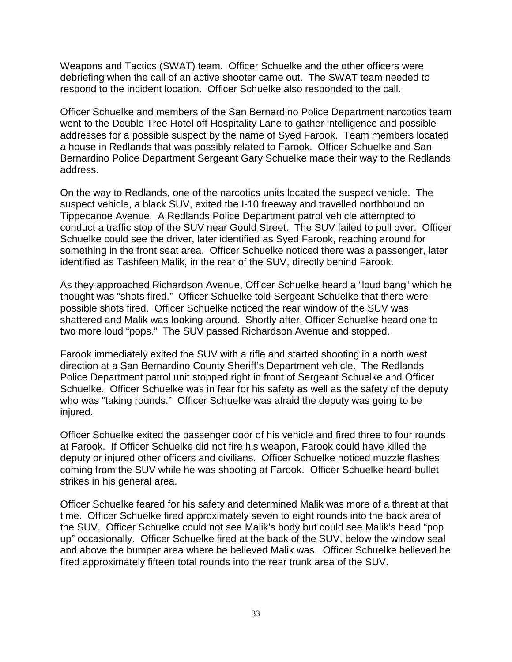Weapons and Tactics (SWAT) team. Officer Schuelke and the other officers were debriefing when the call of an active shooter came out. The SWAT team needed to respond to the incident location. Officer Schuelke also responded to the call.

Officer Schuelke and members of the San Bernardino Police Department narcotics team went to the Double Tree Hotel off Hospitality Lane to gather intelligence and possible addresses for a possible suspect by the name of Syed Farook. Team members located a house in Redlands that was possibly related to Farook. Officer Schuelke and San Bernardino Police Department Sergeant Gary Schuelke made their way to the Redlands address.

On the way to Redlands, one of the narcotics units located the suspect vehicle. The suspect vehicle, a black SUV, exited the I-10 freeway and travelled northbound on Tippecanoe Avenue. A Redlands Police Department patrol vehicle attempted to conduct a traffic stop of the SUV near Gould Street. The SUV failed to pull over. Officer Schuelke could see the driver, later identified as Syed Farook, reaching around for something in the front seat area. Officer Schuelke noticed there was a passenger, later identified as Tashfeen Malik, in the rear of the SUV, directly behind Farook.

As they approached Richardson Avenue, Officer Schuelke heard a "loud bang" which he thought was "shots fired." Officer Schuelke told Sergeant Schuelke that there were possible shots fired. Officer Schuelke noticed the rear window of the SUV was shattered and Malik was looking around. Shortly after, Officer Schuelke heard one to two more loud "pops." The SUV passed Richardson Avenue and stopped.

Farook immediately exited the SUV with a rifle and started shooting in a north west direction at a San Bernardino County Sheriff's Department vehicle. The Redlands Police Department patrol unit stopped right in front of Sergeant Schuelke and Officer Schuelke. Officer Schuelke was in fear for his safety as well as the safety of the deputy who was "taking rounds." Officer Schuelke was afraid the deputy was going to be injured.

Officer Schuelke exited the passenger door of his vehicle and fired three to four rounds at Farook. If Officer Schuelke did not fire his weapon, Farook could have killed the deputy or injured other officers and civilians. Officer Schuelke noticed muzzle flashes coming from the SUV while he was shooting at Farook. Officer Schuelke heard bullet strikes in his general area.

Officer Schuelke feared for his safety and determined Malik was more of a threat at that time. Officer Schuelke fired approximately seven to eight rounds into the back area of the SUV. Officer Schuelke could not see Malik's body but could see Malik's head "pop up" occasionally. Officer Schuelke fired at the back of the SUV, below the window seal and above the bumper area where he believed Malik was. Officer Schuelke believed he fired approximately fifteen total rounds into the rear trunk area of the SUV.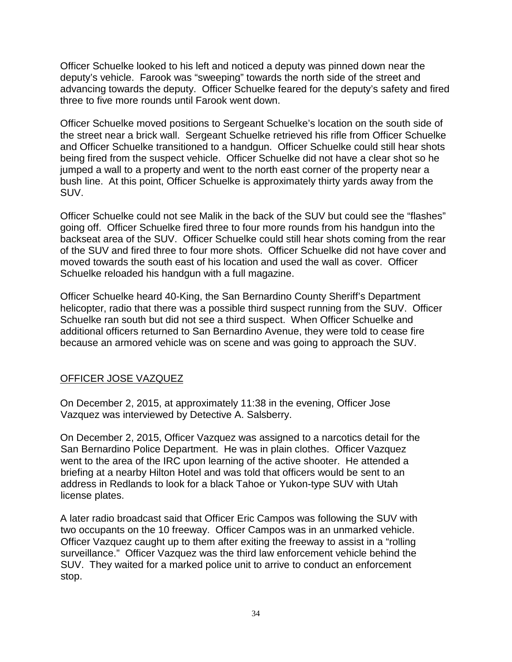Officer Schuelke looked to his left and noticed a deputy was pinned down near the deputy's vehicle. Farook was "sweeping" towards the north side of the street and advancing towards the deputy. Officer Schuelke feared for the deputy's safety and fired three to five more rounds until Farook went down.

Officer Schuelke moved positions to Sergeant Schuelke's location on the south side of the street near a brick wall. Sergeant Schuelke retrieved his rifle from Officer Schuelke and Officer Schuelke transitioned to a handgun. Officer Schuelke could still hear shots being fired from the suspect vehicle. Officer Schuelke did not have a clear shot so he jumped a wall to a property and went to the north east corner of the property near a bush line. At this point, Officer Schuelke is approximately thirty yards away from the SUV.

Officer Schuelke could not see Malik in the back of the SUV but could see the "flashes" going off. Officer Schuelke fired three to four more rounds from his handgun into the backseat area of the SUV. Officer Schuelke could still hear shots coming from the rear of the SUV and fired three to four more shots. Officer Schuelke did not have cover and moved towards the south east of his location and used the wall as cover. Officer Schuelke reloaded his handgun with a full magazine.

Officer Schuelke heard 40-King, the San Bernardino County Sheriff's Department helicopter, radio that there was a possible third suspect running from the SUV. Officer Schuelke ran south but did not see a third suspect. When Officer Schuelke and additional officers returned to San Bernardino Avenue, they were told to cease fire because an armored vehicle was on scene and was going to approach the SUV.

## OFFICER JOSE VAZQUEZ

On December 2, 2015, at approximately 11:38 in the evening, Officer Jose Vazquez was interviewed by Detective A. Salsberry.

On December 2, 2015, Officer Vazquez was assigned to a narcotics detail for the San Bernardino Police Department. He was in plain clothes. Officer Vazquez went to the area of the IRC upon learning of the active shooter. He attended a briefing at a nearby Hilton Hotel and was told that officers would be sent to an address in Redlands to look for a black Tahoe or Yukon-type SUV with Utah license plates.

A later radio broadcast said that Officer Eric Campos was following the SUV with two occupants on the 10 freeway. Officer Campos was in an unmarked vehicle. Officer Vazquez caught up to them after exiting the freeway to assist in a "rolling surveillance." Officer Vazquez was the third law enforcement vehicle behind the SUV. They waited for a marked police unit to arrive to conduct an enforcement stop.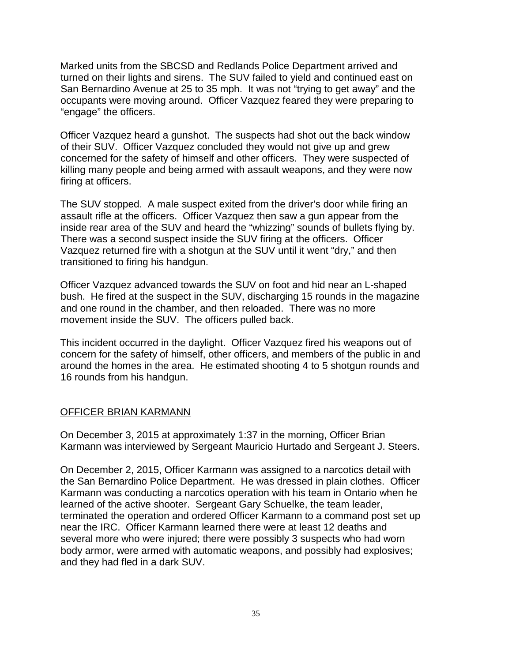Marked units from the SBCSD and Redlands Police Department arrived and turned on their lights and sirens. The SUV failed to yield and continued east on San Bernardino Avenue at 25 to 35 mph. It was not "trying to get away" and the occupants were moving around. Officer Vazquez feared they were preparing to "engage" the officers.

Officer Vazquez heard a gunshot. The suspects had shot out the back window of their SUV. Officer Vazquez concluded they would not give up and grew concerned for the safety of himself and other officers. They were suspected of killing many people and being armed with assault weapons, and they were now firing at officers.

The SUV stopped. A male suspect exited from the driver's door while firing an assault rifle at the officers. Officer Vazquez then saw a gun appear from the inside rear area of the SUV and heard the "whizzing" sounds of bullets flying by. There was a second suspect inside the SUV firing at the officers. Officer Vazquez returned fire with a shotgun at the SUV until it went "dry," and then transitioned to firing his handgun.

Officer Vazquez advanced towards the SUV on foot and hid near an L-shaped bush. He fired at the suspect in the SUV, discharging 15 rounds in the magazine and one round in the chamber, and then reloaded. There was no more movement inside the SUV. The officers pulled back.

This incident occurred in the daylight. Officer Vazquez fired his weapons out of concern for the safety of himself, other officers, and members of the public in and around the homes in the area. He estimated shooting 4 to 5 shotgun rounds and 16 rounds from his handgun.

#### OFFICER BRIAN KARMANN

On December 3, 2015 at approximately 1:37 in the morning, Officer Brian Karmann was interviewed by Sergeant Mauricio Hurtado and Sergeant J. Steers.

On December 2, 2015, Officer Karmann was assigned to a narcotics detail with the San Bernardino Police Department. He was dressed in plain clothes. Officer Karmann was conducting a narcotics operation with his team in Ontario when he learned of the active shooter. Sergeant Gary Schuelke, the team leader, terminated the operation and ordered Officer Karmann to a command post set up near the IRC. Officer Karmann learned there were at least 12 deaths and several more who were injured; there were possibly 3 suspects who had worn body armor, were armed with automatic weapons, and possibly had explosives; and they had fled in a dark SUV.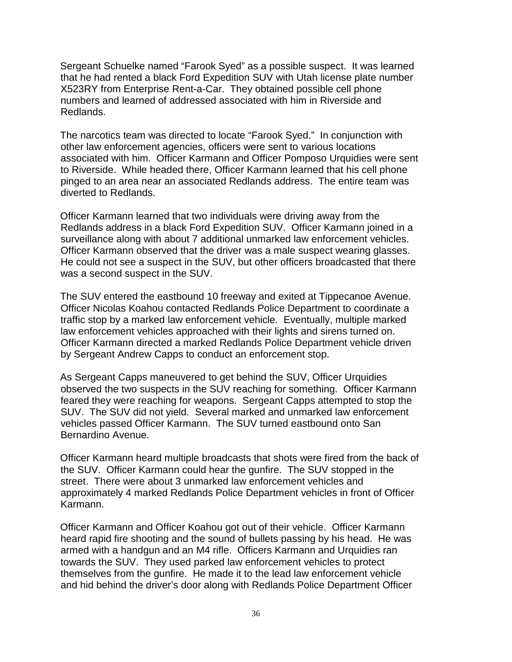Sergeant Schuelke named "Farook Syed" as a possible suspect. It was learned that he had rented a black Ford Expedition SUV with Utah license plate number X523RY from Enterprise Rent-a-Car. They obtained possible cell phone numbers and learned of addressed associated with him in Riverside and Redlands.

The narcotics team was directed to locate "Farook Syed." In conjunction with other law enforcement agencies, officers were sent to various locations associated with him. Officer Karmann and Officer Pomposo Urquidies were sent to Riverside. While headed there, Officer Karmann learned that his cell phone pinged to an area near an associated Redlands address. The entire team was diverted to Redlands.

Officer Karmann learned that two individuals were driving away from the Redlands address in a black Ford Expedition SUV. Officer Karmann joined in a surveillance along with about 7 additional unmarked law enforcement vehicles. Officer Karmann observed that the driver was a male suspect wearing glasses. He could not see a suspect in the SUV, but other officers broadcasted that there was a second suspect in the SUV.

The SUV entered the eastbound 10 freeway and exited at Tippecanoe Avenue. Officer Nicolas Koahou contacted Redlands Police Department to coordinate a traffic stop by a marked law enforcement vehicle. Eventually, multiple marked law enforcement vehicles approached with their lights and sirens turned on. Officer Karmann directed a marked Redlands Police Department vehicle driven by Sergeant Andrew Capps to conduct an enforcement stop.

As Sergeant Capps maneuvered to get behind the SUV, Officer Urquidies observed the two suspects in the SUV reaching for something. Officer Karmann feared they were reaching for weapons. Sergeant Capps attempted to stop the SUV. The SUV did not yield. Several marked and unmarked law enforcement vehicles passed Officer Karmann. The SUV turned eastbound onto San Bernardino Avenue.

Officer Karmann heard multiple broadcasts that shots were fired from the back of the SUV. Officer Karmann could hear the gunfire. The SUV stopped in the street. There were about 3 unmarked law enforcement vehicles and approximately 4 marked Redlands Police Department vehicles in front of Officer Karmann.

Officer Karmann and Officer Koahou got out of their vehicle. Officer Karmann heard rapid fire shooting and the sound of bullets passing by his head. He was armed with a handgun and an M4 rifle. Officers Karmann and Urquidies ran towards the SUV. They used parked law enforcement vehicles to protect themselves from the gunfire. He made it to the lead law enforcement vehicle and hid behind the driver's door along with Redlands Police Department Officer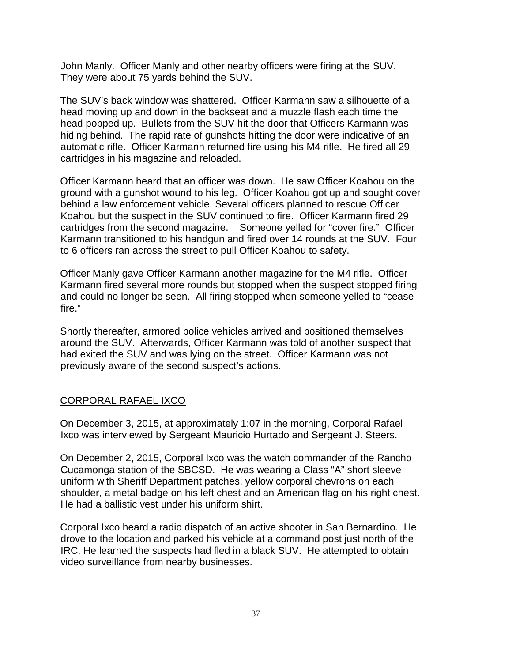John Manly. Officer Manly and other nearby officers were firing at the SUV. They were about 75 yards behind the SUV.

The SUV's back window was shattered. Officer Karmann saw a silhouette of a head moving up and down in the backseat and a muzzle flash each time the head popped up. Bullets from the SUV hit the door that Officers Karmann was hiding behind. The rapid rate of gunshots hitting the door were indicative of an automatic rifle. Officer Karmann returned fire using his M4 rifle. He fired all 29 cartridges in his magazine and reloaded.

Officer Karmann heard that an officer was down. He saw Officer Koahou on the ground with a gunshot wound to his leg. Officer Koahou got up and sought cover behind a law enforcement vehicle. Several officers planned to rescue Officer Koahou but the suspect in the SUV continued to fire. Officer Karmann fired 29 cartridges from the second magazine. Someone yelled for "cover fire." Officer Karmann transitioned to his handgun and fired over 14 rounds at the SUV. Four to 6 officers ran across the street to pull Officer Koahou to safety.

Officer Manly gave Officer Karmann another magazine for the M4 rifle. Officer Karmann fired several more rounds but stopped when the suspect stopped firing and could no longer be seen. All firing stopped when someone yelled to "cease fire."

Shortly thereafter, armored police vehicles arrived and positioned themselves around the SUV. Afterwards, Officer Karmann was told of another suspect that had exited the SUV and was lying on the street. Officer Karmann was not previously aware of the second suspect's actions.

#### CORPORAL RAFAEL IXCO

On December 3, 2015, at approximately 1:07 in the morning, Corporal Rafael Ixco was interviewed by Sergeant Mauricio Hurtado and Sergeant J. Steers.

On December 2, 2015, Corporal Ixco was the watch commander of the Rancho Cucamonga station of the SBCSD. He was wearing a Class "A" short sleeve uniform with Sheriff Department patches, yellow corporal chevrons on each shoulder, a metal badge on his left chest and an American flag on his right chest. He had a ballistic vest under his uniform shirt.

Corporal Ixco heard a radio dispatch of an active shooter in San Bernardino. He drove to the location and parked his vehicle at a command post just north of the IRC. He learned the suspects had fled in a black SUV. He attempted to obtain video surveillance from nearby businesses.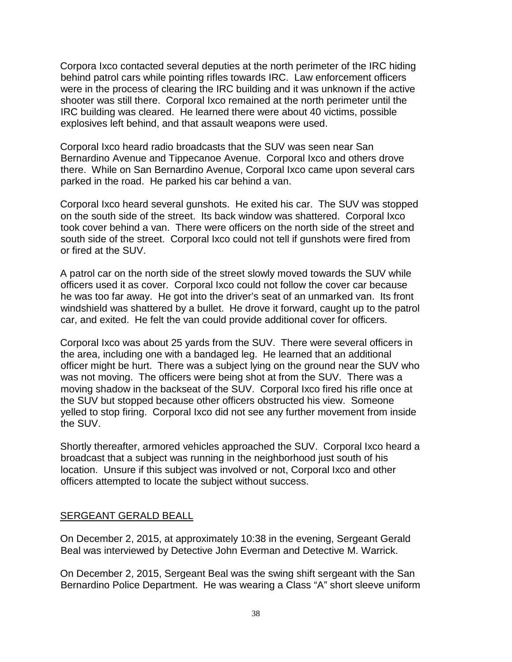Corpora Ixco contacted several deputies at the north perimeter of the IRC hiding behind patrol cars while pointing rifles towards IRC. Law enforcement officers were in the process of clearing the IRC building and it was unknown if the active shooter was still there. Corporal Ixco remained at the north perimeter until the IRC building was cleared. He learned there were about 40 victims, possible explosives left behind, and that assault weapons were used.

Corporal Ixco heard radio broadcasts that the SUV was seen near San Bernardino Avenue and Tippecanoe Avenue. Corporal Ixco and others drove there. While on San Bernardino Avenue, Corporal Ixco came upon several cars parked in the road. He parked his car behind a van.

Corporal Ixco heard several gunshots. He exited his car. The SUV was stopped on the south side of the street. Its back window was shattered. Corporal Ixco took cover behind a van. There were officers on the north side of the street and south side of the street. Corporal Ixco could not tell if gunshots were fired from or fired at the SUV.

A patrol car on the north side of the street slowly moved towards the SUV while officers used it as cover. Corporal Ixco could not follow the cover car because he was too far away. He got into the driver's seat of an unmarked van. Its front windshield was shattered by a bullet. He drove it forward, caught up to the patrol car, and exited. He felt the van could provide additional cover for officers.

Corporal Ixco was about 25 yards from the SUV. There were several officers in the area, including one with a bandaged leg. He learned that an additional officer might be hurt. There was a subject lying on the ground near the SUV who was not moving. The officers were being shot at from the SUV. There was a moving shadow in the backseat of the SUV. Corporal Ixco fired his rifle once at the SUV but stopped because other officers obstructed his view. Someone yelled to stop firing. Corporal Ixco did not see any further movement from inside the SUV.

Shortly thereafter, armored vehicles approached the SUV. Corporal Ixco heard a broadcast that a subject was running in the neighborhood just south of his location. Unsure if this subject was involved or not, Corporal Ixco and other officers attempted to locate the subject without success.

#### SERGEANT GERALD BEALL

On December 2, 2015, at approximately 10:38 in the evening, Sergeant Gerald Beal was interviewed by Detective John Everman and Detective M. Warrick.

On December 2, 2015, Sergeant Beal was the swing shift sergeant with the San Bernardino Police Department. He was wearing a Class "A" short sleeve uniform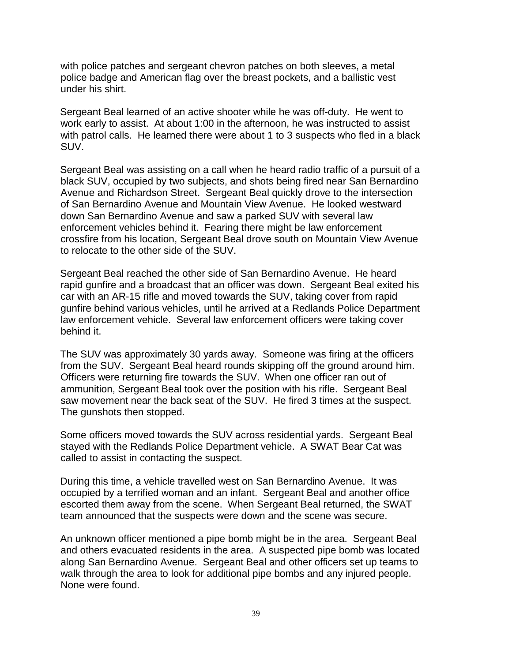with police patches and sergeant chevron patches on both sleeves, a metal police badge and American flag over the breast pockets, and a ballistic vest under his shirt.

Sergeant Beal learned of an active shooter while he was off-duty. He went to work early to assist. At about 1:00 in the afternoon, he was instructed to assist with patrol calls. He learned there were about 1 to 3 suspects who fled in a black SUV.

Sergeant Beal was assisting on a call when he heard radio traffic of a pursuit of a black SUV, occupied by two subjects, and shots being fired near San Bernardino Avenue and Richardson Street. Sergeant Beal quickly drove to the intersection of San Bernardino Avenue and Mountain View Avenue. He looked westward down San Bernardino Avenue and saw a parked SUV with several law enforcement vehicles behind it. Fearing there might be law enforcement crossfire from his location, Sergeant Beal drove south on Mountain View Avenue to relocate to the other side of the SUV.

Sergeant Beal reached the other side of San Bernardino Avenue. He heard rapid gunfire and a broadcast that an officer was down. Sergeant Beal exited his car with an AR-15 rifle and moved towards the SUV, taking cover from rapid gunfire behind various vehicles, until he arrived at a Redlands Police Department law enforcement vehicle. Several law enforcement officers were taking cover behind it.

The SUV was approximately 30 yards away. Someone was firing at the officers from the SUV. Sergeant Beal heard rounds skipping off the ground around him. Officers were returning fire towards the SUV. When one officer ran out of ammunition, Sergeant Beal took over the position with his rifle. Sergeant Beal saw movement near the back seat of the SUV. He fired 3 times at the suspect. The gunshots then stopped.

Some officers moved towards the SUV across residential yards. Sergeant Beal stayed with the Redlands Police Department vehicle. A SWAT Bear Cat was called to assist in contacting the suspect.

During this time, a vehicle travelled west on San Bernardino Avenue. It was occupied by a terrified woman and an infant. Sergeant Beal and another office escorted them away from the scene. When Sergeant Beal returned, the SWAT team announced that the suspects were down and the scene was secure.

An unknown officer mentioned a pipe bomb might be in the area. Sergeant Beal and others evacuated residents in the area. A suspected pipe bomb was located along San Bernardino Avenue. Sergeant Beal and other officers set up teams to walk through the area to look for additional pipe bombs and any injured people. None were found.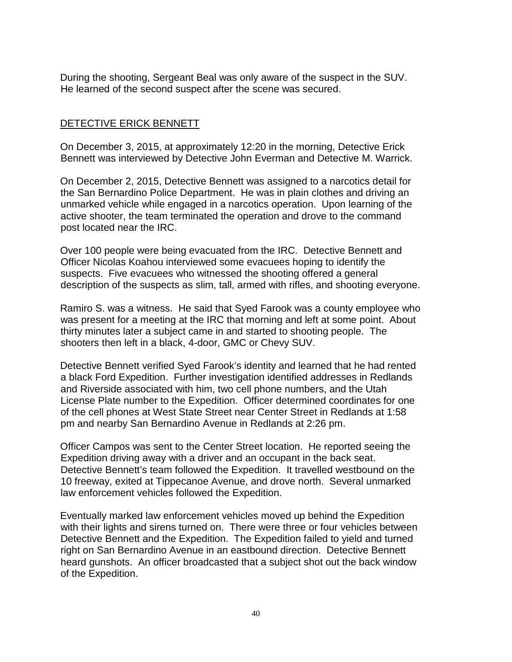During the shooting, Sergeant Beal was only aware of the suspect in the SUV. He learned of the second suspect after the scene was secured.

## DETECTIVE ERICK BENNETT

On December 3, 2015, at approximately 12:20 in the morning, Detective Erick Bennett was interviewed by Detective John Everman and Detective M. Warrick.

On December 2, 2015, Detective Bennett was assigned to a narcotics detail for the San Bernardino Police Department. He was in plain clothes and driving an unmarked vehicle while engaged in a narcotics operation. Upon learning of the active shooter, the team terminated the operation and drove to the command post located near the IRC.

Over 100 people were being evacuated from the IRC. Detective Bennett and Officer Nicolas Koahou interviewed some evacuees hoping to identify the suspects. Five evacuees who witnessed the shooting offered a general description of the suspects as slim, tall, armed with rifles, and shooting everyone.

Ramiro S. was a witness. He said that Syed Farook was a county employee who was present for a meeting at the IRC that morning and left at some point. About thirty minutes later a subject came in and started to shooting people. The shooters then left in a black, 4-door, GMC or Chevy SUV.

Detective Bennett verified Syed Farook's identity and learned that he had rented a black Ford Expedition. Further investigation identified addresses in Redlands and Riverside associated with him, two cell phone numbers, and the Utah License Plate number to the Expedition. Officer determined coordinates for one of the cell phones at West State Street near Center Street in Redlands at 1:58 pm and nearby San Bernardino Avenue in Redlands at 2:26 pm.

Officer Campos was sent to the Center Street location. He reported seeing the Expedition driving away with a driver and an occupant in the back seat. Detective Bennett's team followed the Expedition. It travelled westbound on the 10 freeway, exited at Tippecanoe Avenue, and drove north. Several unmarked law enforcement vehicles followed the Expedition.

Eventually marked law enforcement vehicles moved up behind the Expedition with their lights and sirens turned on. There were three or four vehicles between Detective Bennett and the Expedition. The Expedition failed to yield and turned right on San Bernardino Avenue in an eastbound direction. Detective Bennett heard gunshots. An officer broadcasted that a subject shot out the back window of the Expedition.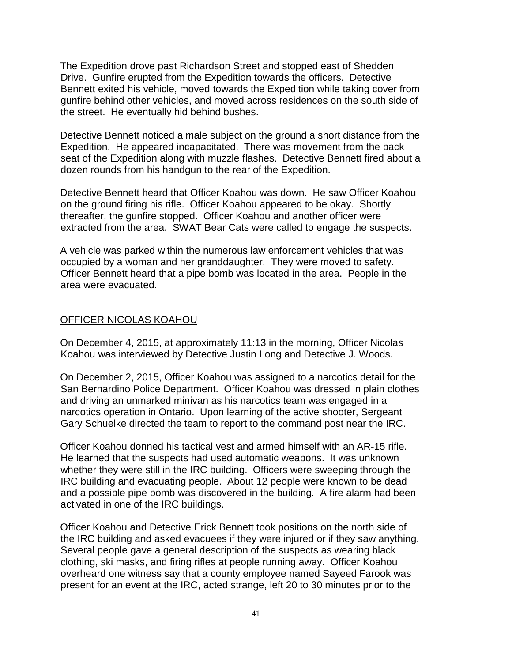The Expedition drove past Richardson Street and stopped east of Shedden Drive. Gunfire erupted from the Expedition towards the officers. Detective Bennett exited his vehicle, moved towards the Expedition while taking cover from gunfire behind other vehicles, and moved across residences on the south side of the street. He eventually hid behind bushes.

Detective Bennett noticed a male subject on the ground a short distance from the Expedition. He appeared incapacitated. There was movement from the back seat of the Expedition along with muzzle flashes. Detective Bennett fired about a dozen rounds from his handgun to the rear of the Expedition.

Detective Bennett heard that Officer Koahou was down. He saw Officer Koahou on the ground firing his rifle. Officer Koahou appeared to be okay. Shortly thereafter, the gunfire stopped. Officer Koahou and another officer were extracted from the area. SWAT Bear Cats were called to engage the suspects.

A vehicle was parked within the numerous law enforcement vehicles that was occupied by a woman and her granddaughter. They were moved to safety. Officer Bennett heard that a pipe bomb was located in the area. People in the area were evacuated.

#### OFFICER NICOLAS KOAHOU

On December 4, 2015, at approximately 11:13 in the morning, Officer Nicolas Koahou was interviewed by Detective Justin Long and Detective J. Woods.

On December 2, 2015, Officer Koahou was assigned to a narcotics detail for the San Bernardino Police Department. Officer Koahou was dressed in plain clothes and driving an unmarked minivan as his narcotics team was engaged in a narcotics operation in Ontario. Upon learning of the active shooter, Sergeant Gary Schuelke directed the team to report to the command post near the IRC.

Officer Koahou donned his tactical vest and armed himself with an AR-15 rifle. He learned that the suspects had used automatic weapons. It was unknown whether they were still in the IRC building. Officers were sweeping through the IRC building and evacuating people. About 12 people were known to be dead and a possible pipe bomb was discovered in the building. A fire alarm had been activated in one of the IRC buildings.

Officer Koahou and Detective Erick Bennett took positions on the north side of the IRC building and asked evacuees if they were injured or if they saw anything. Several people gave a general description of the suspects as wearing black clothing, ski masks, and firing rifles at people running away. Officer Koahou overheard one witness say that a county employee named Sayeed Farook was present for an event at the IRC, acted strange, left 20 to 30 minutes prior to the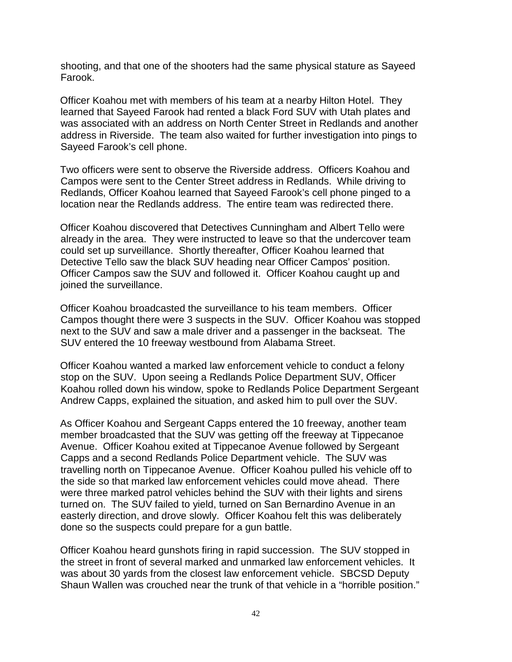shooting, and that one of the shooters had the same physical stature as Sayeed Farook.

Officer Koahou met with members of his team at a nearby Hilton Hotel. They learned that Sayeed Farook had rented a black Ford SUV with Utah plates and was associated with an address on North Center Street in Redlands and another address in Riverside. The team also waited for further investigation into pings to Sayeed Farook's cell phone.

Two officers were sent to observe the Riverside address. Officers Koahou and Campos were sent to the Center Street address in Redlands. While driving to Redlands, Officer Koahou learned that Sayeed Farook's cell phone pinged to a location near the Redlands address. The entire team was redirected there.

Officer Koahou discovered that Detectives Cunningham and Albert Tello were already in the area. They were instructed to leave so that the undercover team could set up surveillance. Shortly thereafter, Officer Koahou learned that Detective Tello saw the black SUV heading near Officer Campos' position. Officer Campos saw the SUV and followed it. Officer Koahou caught up and joined the surveillance.

Officer Koahou broadcasted the surveillance to his team members. Officer Campos thought there were 3 suspects in the SUV. Officer Koahou was stopped next to the SUV and saw a male driver and a passenger in the backseat. The SUV entered the 10 freeway westbound from Alabama Street.

Officer Koahou wanted a marked law enforcement vehicle to conduct a felony stop on the SUV. Upon seeing a Redlands Police Department SUV, Officer Koahou rolled down his window, spoke to Redlands Police Department Sergeant Andrew Capps, explained the situation, and asked him to pull over the SUV.

As Officer Koahou and Sergeant Capps entered the 10 freeway, another team member broadcasted that the SUV was getting off the freeway at Tippecanoe Avenue. Officer Koahou exited at Tippecanoe Avenue followed by Sergeant Capps and a second Redlands Police Department vehicle. The SUV was travelling north on Tippecanoe Avenue. Officer Koahou pulled his vehicle off to the side so that marked law enforcement vehicles could move ahead. There were three marked patrol vehicles behind the SUV with their lights and sirens turned on. The SUV failed to yield, turned on San Bernardino Avenue in an easterly direction, and drove slowly. Officer Koahou felt this was deliberately done so the suspects could prepare for a gun battle.

Officer Koahou heard gunshots firing in rapid succession. The SUV stopped in the street in front of several marked and unmarked law enforcement vehicles. It was about 30 yards from the closest law enforcement vehicle. SBCSD Deputy Shaun Wallen was crouched near the trunk of that vehicle in a "horrible position."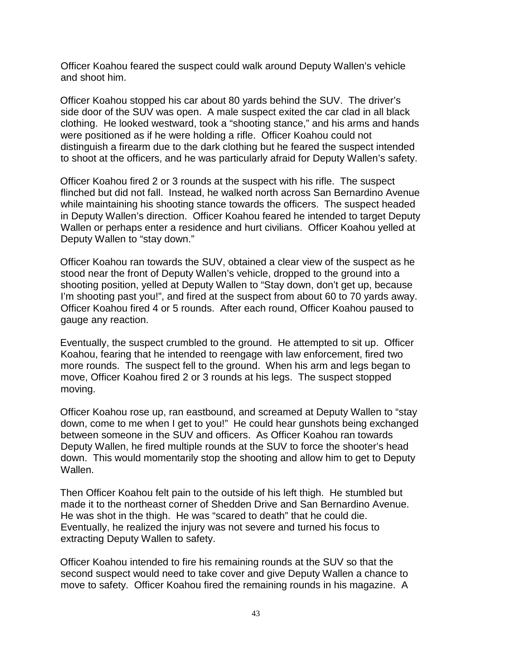Officer Koahou feared the suspect could walk around Deputy Wallen's vehicle and shoot him.

Officer Koahou stopped his car about 80 yards behind the SUV. The driver's side door of the SUV was open. A male suspect exited the car clad in all black clothing. He looked westward, took a "shooting stance," and his arms and hands were positioned as if he were holding a rifle. Officer Koahou could not distinguish a firearm due to the dark clothing but he feared the suspect intended to shoot at the officers, and he was particularly afraid for Deputy Wallen's safety.

Officer Koahou fired 2 or 3 rounds at the suspect with his rifle. The suspect flinched but did not fall. Instead, he walked north across San Bernardino Avenue while maintaining his shooting stance towards the officers. The suspect headed in Deputy Wallen's direction. Officer Koahou feared he intended to target Deputy Wallen or perhaps enter a residence and hurt civilians. Officer Koahou yelled at Deputy Wallen to "stay down."

Officer Koahou ran towards the SUV, obtained a clear view of the suspect as he stood near the front of Deputy Wallen's vehicle, dropped to the ground into a shooting position, yelled at Deputy Wallen to "Stay down, don't get up, because I'm shooting past you!", and fired at the suspect from about 60 to 70 yards away. Officer Koahou fired 4 or 5 rounds. After each round, Officer Koahou paused to gauge any reaction.

Eventually, the suspect crumbled to the ground. He attempted to sit up. Officer Koahou, fearing that he intended to reengage with law enforcement, fired two more rounds. The suspect fell to the ground. When his arm and legs began to move, Officer Koahou fired 2 or 3 rounds at his legs. The suspect stopped moving.

Officer Koahou rose up, ran eastbound, and screamed at Deputy Wallen to "stay down, come to me when I get to you!" He could hear gunshots being exchanged between someone in the SUV and officers. As Officer Koahou ran towards Deputy Wallen, he fired multiple rounds at the SUV to force the shooter's head down. This would momentarily stop the shooting and allow him to get to Deputy Wallen.

Then Officer Koahou felt pain to the outside of his left thigh. He stumbled but made it to the northeast corner of Shedden Drive and San Bernardino Avenue. He was shot in the thigh. He was "scared to death" that he could die. Eventually, he realized the injury was not severe and turned his focus to extracting Deputy Wallen to safety.

Officer Koahou intended to fire his remaining rounds at the SUV so that the second suspect would need to take cover and give Deputy Wallen a chance to move to safety. Officer Koahou fired the remaining rounds in his magazine. A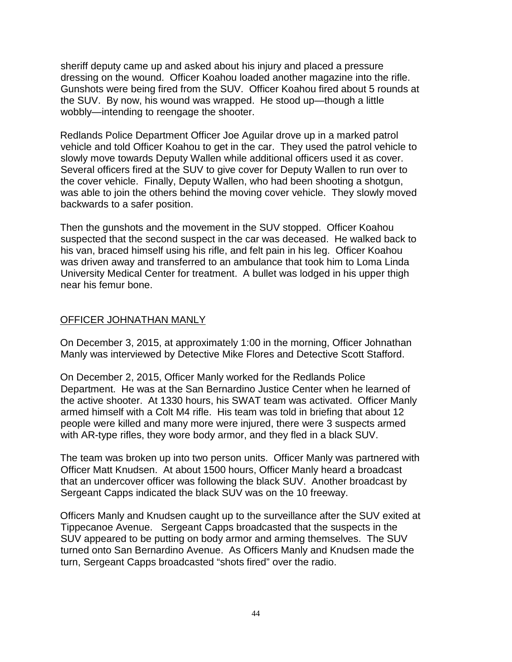sheriff deputy came up and asked about his injury and placed a pressure dressing on the wound. Officer Koahou loaded another magazine into the rifle. Gunshots were being fired from the SUV. Officer Koahou fired about 5 rounds at the SUV. By now, his wound was wrapped. He stood up—though a little wobbly—intending to reengage the shooter.

Redlands Police Department Officer Joe Aguilar drove up in a marked patrol vehicle and told Officer Koahou to get in the car. They used the patrol vehicle to slowly move towards Deputy Wallen while additional officers used it as cover. Several officers fired at the SUV to give cover for Deputy Wallen to run over to the cover vehicle. Finally, Deputy Wallen, who had been shooting a shotgun, was able to join the others behind the moving cover vehicle. They slowly moved backwards to a safer position.

Then the gunshots and the movement in the SUV stopped. Officer Koahou suspected that the second suspect in the car was deceased. He walked back to his van, braced himself using his rifle, and felt pain in his leg. Officer Koahou was driven away and transferred to an ambulance that took him to Loma Linda University Medical Center for treatment. A bullet was lodged in his upper thigh near his femur bone.

#### OFFICER JOHNATHAN MANLY

On December 3, 2015, at approximately 1:00 in the morning, Officer Johnathan Manly was interviewed by Detective Mike Flores and Detective Scott Stafford.

On December 2, 2015, Officer Manly worked for the Redlands Police Department. He was at the San Bernardino Justice Center when he learned of the active shooter. At 1330 hours, his SWAT team was activated. Officer Manly armed himself with a Colt M4 rifle. His team was told in briefing that about 12 people were killed and many more were injured, there were 3 suspects armed with AR-type rifles, they wore body armor, and they fled in a black SUV.

The team was broken up into two person units. Officer Manly was partnered with Officer Matt Knudsen. At about 1500 hours, Officer Manly heard a broadcast that an undercover officer was following the black SUV. Another broadcast by Sergeant Capps indicated the black SUV was on the 10 freeway.

Officers Manly and Knudsen caught up to the surveillance after the SUV exited at Tippecanoe Avenue. Sergeant Capps broadcasted that the suspects in the SUV appeared to be putting on body armor and arming themselves. The SUV turned onto San Bernardino Avenue. As Officers Manly and Knudsen made the turn, Sergeant Capps broadcasted "shots fired" over the radio.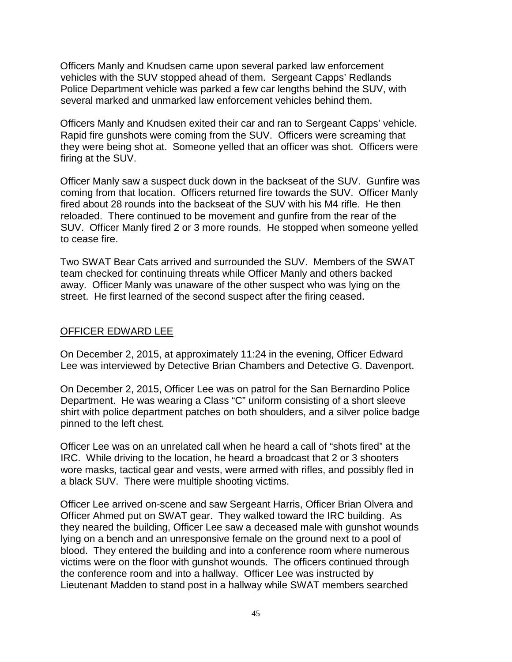Officers Manly and Knudsen came upon several parked law enforcement vehicles with the SUV stopped ahead of them. Sergeant Capps' Redlands Police Department vehicle was parked a few car lengths behind the SUV, with several marked and unmarked law enforcement vehicles behind them.

Officers Manly and Knudsen exited their car and ran to Sergeant Capps' vehicle. Rapid fire gunshots were coming from the SUV. Officers were screaming that they were being shot at. Someone yelled that an officer was shot. Officers were firing at the SUV.

Officer Manly saw a suspect duck down in the backseat of the SUV. Gunfire was coming from that location. Officers returned fire towards the SUV. Officer Manly fired about 28 rounds into the backseat of the SUV with his M4 rifle. He then reloaded. There continued to be movement and gunfire from the rear of the SUV. Officer Manly fired 2 or 3 more rounds. He stopped when someone yelled to cease fire.

Two SWAT Bear Cats arrived and surrounded the SUV. Members of the SWAT team checked for continuing threats while Officer Manly and others backed away. Officer Manly was unaware of the other suspect who was lying on the street. He first learned of the second suspect after the firing ceased.

#### OFFICER EDWARD LEE

On December 2, 2015, at approximately 11:24 in the evening, Officer Edward Lee was interviewed by Detective Brian Chambers and Detective G. Davenport.

On December 2, 2015, Officer Lee was on patrol for the San Bernardino Police Department. He was wearing a Class "C" uniform consisting of a short sleeve shirt with police department patches on both shoulders, and a silver police badge pinned to the left chest.

Officer Lee was on an unrelated call when he heard a call of "shots fired" at the IRC. While driving to the location, he heard a broadcast that 2 or 3 shooters wore masks, tactical gear and vests, were armed with rifles, and possibly fled in a black SUV. There were multiple shooting victims.

Officer Lee arrived on-scene and saw Sergeant Harris, Officer Brian Olvera and Officer Ahmed put on SWAT gear. They walked toward the IRC building. As they neared the building, Officer Lee saw a deceased male with gunshot wounds lying on a bench and an unresponsive female on the ground next to a pool of blood. They entered the building and into a conference room where numerous victims were on the floor with gunshot wounds. The officers continued through the conference room and into a hallway. Officer Lee was instructed by Lieutenant Madden to stand post in a hallway while SWAT members searched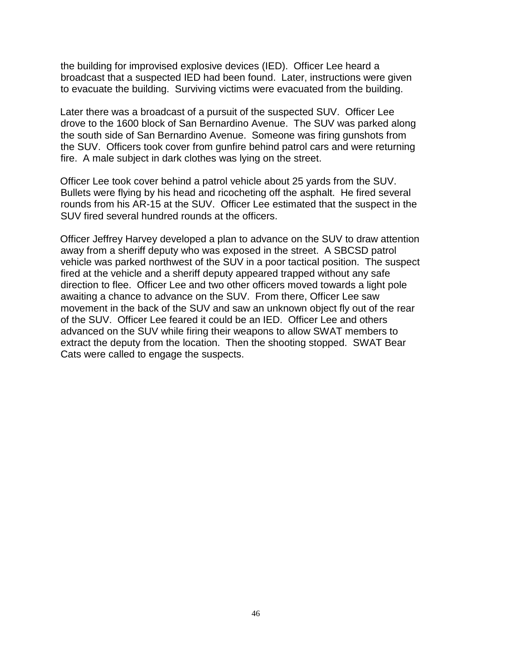the building for improvised explosive devices (IED). Officer Lee heard a broadcast that a suspected IED had been found. Later, instructions were given to evacuate the building. Surviving victims were evacuated from the building.

Later there was a broadcast of a pursuit of the suspected SUV. Officer Lee drove to the 1600 block of San Bernardino Avenue. The SUV was parked along the south side of San Bernardino Avenue. Someone was firing gunshots from the SUV. Officers took cover from gunfire behind patrol cars and were returning fire. A male subject in dark clothes was lying on the street.

Officer Lee took cover behind a patrol vehicle about 25 yards from the SUV. Bullets were flying by his head and ricocheting off the asphalt. He fired several rounds from his AR-15 at the SUV. Officer Lee estimated that the suspect in the SUV fired several hundred rounds at the officers.

Officer Jeffrey Harvey developed a plan to advance on the SUV to draw attention away from a sheriff deputy who was exposed in the street. A SBCSD patrol vehicle was parked northwest of the SUV in a poor tactical position. The suspect fired at the vehicle and a sheriff deputy appeared trapped without any safe direction to flee. Officer Lee and two other officers moved towards a light pole awaiting a chance to advance on the SUV. From there, Officer Lee saw movement in the back of the SUV and saw an unknown object fly out of the rear of the SUV. Officer Lee feared it could be an IED. Officer Lee and others advanced on the SUV while firing their weapons to allow SWAT members to extract the deputy from the location. Then the shooting stopped. SWAT Bear Cats were called to engage the suspects.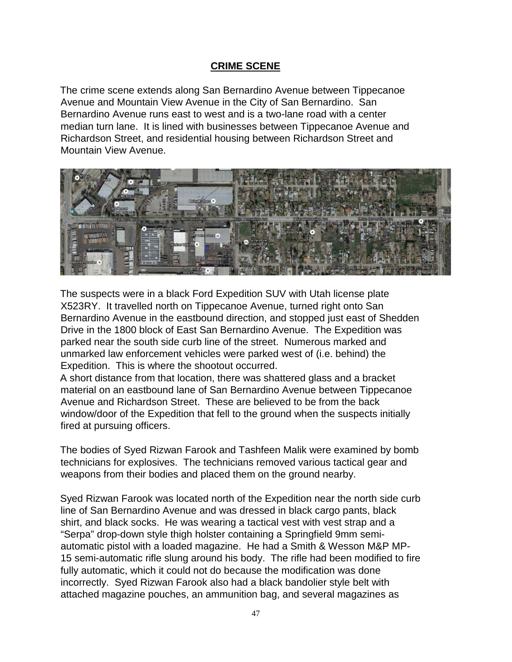## **CRIME SCENE**

The crime scene extends along San Bernardino Avenue between Tippecanoe Avenue and Mountain View Avenue in the City of San Bernardino. San Bernardino Avenue runs east to west and is a two-lane road with a center median turn lane. It is lined with businesses between Tippecanoe Avenue and Richardson Street, and residential housing between Richardson Street and Mountain View Avenue.



The suspects were in a black Ford Expedition SUV with Utah license plate X523RY. It travelled north on Tippecanoe Avenue, turned right onto San Bernardino Avenue in the eastbound direction, and stopped just east of Shedden Drive in the 1800 block of East San Bernardino Avenue. The Expedition was parked near the south side curb line of the street. Numerous marked and unmarked law enforcement vehicles were parked west of (i.e. behind) the Expedition. This is where the shootout occurred.

A short distance from that location, there was shattered glass and a bracket material on an eastbound lane of San Bernardino Avenue between Tippecanoe Avenue and Richardson Street. These are believed to be from the back window/door of the Expedition that fell to the ground when the suspects initially fired at pursuing officers.

The bodies of Syed Rizwan Farook and Tashfeen Malik were examined by bomb technicians for explosives. The technicians removed various tactical gear and weapons from their bodies and placed them on the ground nearby.

Syed Rizwan Farook was located north of the Expedition near the north side curb line of San Bernardino Avenue and was dressed in black cargo pants, black shirt, and black socks. He was wearing a tactical vest with vest strap and a "Serpa" drop-down style thigh holster containing a Springfield 9mm semiautomatic pistol with a loaded magazine. He had a Smith & Wesson M&P MP-15 semi-automatic rifle slung around his body. The rifle had been modified to fire fully automatic, which it could not do because the modification was done incorrectly. Syed Rizwan Farook also had a black bandolier style belt with attached magazine pouches, an ammunition bag, and several magazines as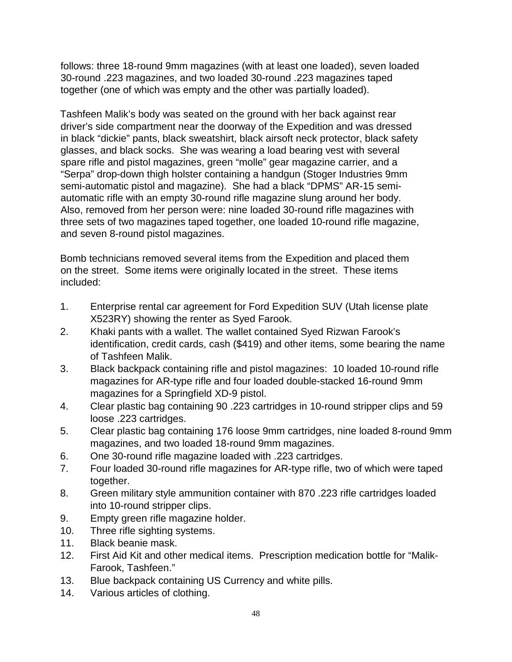follows: three 18-round 9mm magazines (with at least one loaded), seven loaded 30-round .223 magazines, and two loaded 30-round .223 magazines taped together (one of which was empty and the other was partially loaded).

Tashfeen Malik's body was seated on the ground with her back against rear driver's side compartment near the doorway of the Expedition and was dressed in black "dickie" pants, black sweatshirt, black airsoft neck protector, black safety glasses, and black socks. She was wearing a load bearing vest with several spare rifle and pistol magazines, green "molle" gear magazine carrier, and a "Serpa" drop-down thigh holster containing a handgun (Stoger Industries 9mm semi-automatic pistol and magazine). She had a black "DPMS" AR-15 semiautomatic rifle with an empty 30-round rifle magazine slung around her body. Also, removed from her person were: nine loaded 30-round rifle magazines with three sets of two magazines taped together, one loaded 10-round rifle magazine, and seven 8-round pistol magazines.

Bomb technicians removed several items from the Expedition and placed them on the street. Some items were originally located in the street. These items included:

- 1. Enterprise rental car agreement for Ford Expedition SUV (Utah license plate X523RY) showing the renter as Syed Farook.
- 2. Khaki pants with a wallet. The wallet contained Syed Rizwan Farook's identification, credit cards, cash (\$419) and other items, some bearing the name of Tashfeen Malik.
- 3. Black backpack containing rifle and pistol magazines: 10 loaded 10-round rifle magazines for AR-type rifle and four loaded double-stacked 16-round 9mm magazines for a Springfield XD-9 pistol.
- 4. Clear plastic bag containing 90 .223 cartridges in 10-round stripper clips and 59 loose .223 cartridges.
- 5. Clear plastic bag containing 176 loose 9mm cartridges, nine loaded 8-round 9mm magazines, and two loaded 18-round 9mm magazines.
- 6. One 30-round rifle magazine loaded with .223 cartridges.
- 7. Four loaded 30-round rifle magazines for AR-type rifle, two of which were taped together.
- 8. Green military style ammunition container with 870 .223 rifle cartridges loaded into 10-round stripper clips.
- 9. Empty green rifle magazine holder.
- 10. Three rifle sighting systems.
- 11. Black beanie mask.
- 12. First Aid Kit and other medical items. Prescription medication bottle for "Malik-Farook, Tashfeen."
- 13. Blue backpack containing US Currency and white pills.
- 14. Various articles of clothing.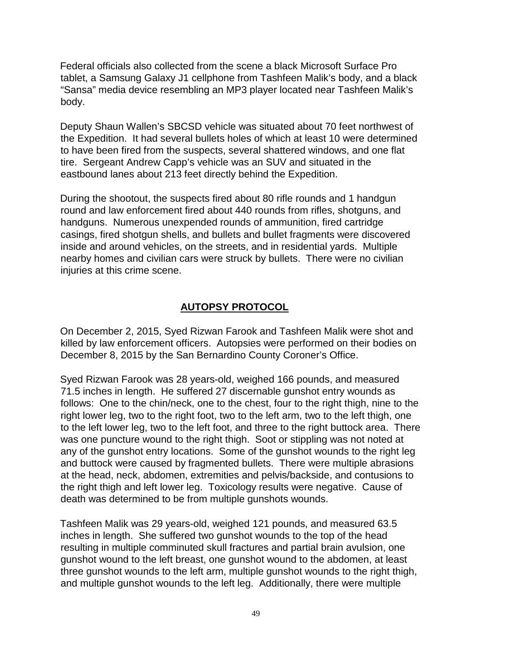Federal officials also collected from the scene a black Microsoft Surface Pro tablet, a Samsung Galaxy J1 cellphone from Tashfeen Malik's body, and a black "Sansa" media device resembling an MP3 player located near Tashfeen Malik's body.

Deputy Shaun Wallen's SBCSD vehicle was situated about 70 feet northwest of the Expedition. It had several bullets holes of which at least 10 were determined to have been fired from the suspects, several shattered windows, and one flat tire. Sergeant Andrew Capp's vehicle was an SUV and situated in the eastbound lanes about 213 feet directly behind the Expedition.

During the shootout, the suspects fired about 80 rifle rounds and 1 handgun round and law enforcement fired about 440 rounds from rifles, shotguns, and handguns. Numerous unexpended rounds of ammunition, fired cartridge casings, fired shotgun shells, and bullets and bullet fragments were discovered inside and around vehicles, on the streets, and in residential yards. Multiple nearby homes and civilian cars were struck by bullets. There were no civilian injuries at this crime scene.

## **AUTOPSY PROTOCOL**

On December 2, 2015, Syed Rizwan Farook and Tashfeen Malik were shot and killed by law enforcement officers. Autopsies were performed on their bodies on December 8, 2015 by the San Bernardino County Coroner's Office.

Syed Rizwan Farook was 28 years-old, weighed 166 pounds, and measured 71.5 inches in length. He suffered 27 discernable gunshot entry wounds as follows: One to the chin/neck, one to the chest, four to the right thigh, nine to the right lower leg, two to the right foot, two to the left arm, two to the left thigh, one to the left lower leg, two to the left foot, and three to the right buttock area. There was one puncture wound to the right thigh. Soot or stippling was not noted at any of the gunshot entry locations. Some of the gunshot wounds to the right leg and buttock were caused by fragmented bullets. There were multiple abrasions at the head, neck, abdomen, extremities and pelvis/backside, and contusions to the right thigh and left lower leg. Toxicology results were negative. Cause of death was determined to be from multiple gunshots wounds.

Tashfeen Malik was 29 years-old, weighed 121 pounds, and measured 63.5 inches in length. She suffered two gunshot wounds to the top of the head resulting in multiple comminuted skull fractures and partial brain avulsion, one gunshot wound to the left breast, one gunshot wound to the abdomen, at least three gunshot wounds to the left arm, multiple gunshot wounds to the right thigh, and multiple gunshot wounds to the left leg. Additionally, there were multiple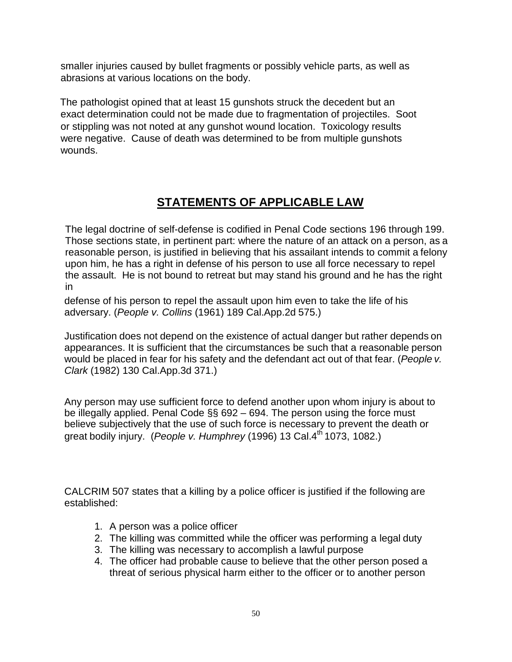smaller injuries caused by bullet fragments or possibly vehicle parts, as well as abrasions at various locations on the body.

The pathologist opined that at least 15 gunshots struck the decedent but an exact determination could not be made due to fragmentation of projectiles. Soot or stippling was not noted at any gunshot wound location. Toxicology results were negative. Cause of death was determined to be from multiple gunshots wounds.

## **STATEMENTS OF APPLICABLE LAW**

The legal doctrine of self-defense is codified in Penal Code sections 196 through 199. Those sections state, in pertinent part: where the nature of an attack on a person, as a reasonable person, is justified in believing that his assailant intends to commit a felony upon him, he has a right in defense of his person to use all force necessary to repel the assault. He is not bound to retreat but may stand his ground and he has the right in

defense of his person to repel the assault upon him even to take the life of his adversary. (*People v. Collins* (1961) 189 Cal.App.2d 575.)

Justification does not depend on the existence of actual danger but rather depends on appearances. It is sufficient that the circumstances be such that a reasonable person would be placed in fear for his safety and the defendant act out of that fear. (*People v. Clark* (1982) 130 Cal.App.3d 371.)

Any person may use sufficient force to defend another upon whom injury is about to be illegally applied. Penal Code §§ 692 – 694. The person using the force must believe subjectively that the use of such force is necessary to prevent the death or great bodily injury. (*People v. Humphrey* (1996) 13 Cal.4th 1073, 1082.)

CALCRIM 507 states that a killing by a police officer is justified if the following are established:

- 1. A person was a police officer
- 2. The killing was committed while the officer was performing a legal duty
- 3. The killing was necessary to accomplish a lawful purpose
- 4. The officer had probable cause to believe that the other person posed a threat of serious physical harm either to the officer or to another person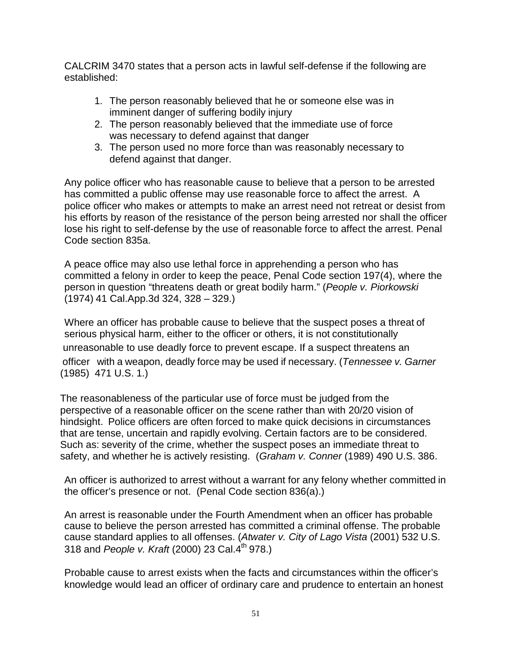CALCRIM 3470 states that a person acts in lawful self-defense if the following are established:

- 1. The person reasonably believed that he or someone else was in imminent danger of suffering bodily injury
- 2. The person reasonably believed that the immediate use of force was necessary to defend against that danger
- 3. The person used no more force than was reasonably necessary to defend against that danger.

Any police officer who has reasonable cause to believe that a person to be arrested has committed a public offense may use reasonable force to affect the arrest. A police officer who makes or attempts to make an arrest need not retreat or desist from his efforts by reason of the resistance of the person being arrested nor shall the officer lose his right to self-defense by the use of reasonable force to affect the arrest. Penal Code section 835a.

A peace office may also use lethal force in apprehending a person who has committed a felony in order to keep the peace, Penal Code section 197(4), where the person in question "threatens death or great bodily harm." (*People v. Piorkowski*  (1974) 41 Cal.App.3d 324, 328 – 329.)

Where an officer has probable cause to believe that the suspect poses a threat of serious physical harm, either to the officer or others, it is not constitutionally unreasonable to use deadly force to prevent escape. If a suspect threatens an officer with a weapon, deadly force may be used if necessary. (*Tennessee v. Garner*  (1985) 471 U.S. 1.)

The reasonableness of the particular use of force must be judged from the perspective of a reasonable officer on the scene rather than with 20/20 vision of hindsight. Police officers are often forced to make quick decisions in circumstances that are tense, uncertain and rapidly evolving. Certain factors are to be considered. Such as: severity of the crime, whether the suspect poses an immediate threat to safety, and whether he is actively resisting. (*Graham v. Conner* (1989) 490 U.S. 386.

An officer is authorized to arrest without a warrant for any felony whether committed in the officer's presence or not. (Penal Code section 836(a).)

An arrest is reasonable under the Fourth Amendment when an officer has probable cause to believe the person arrested has committed a criminal offense. The probable cause standard applies to all offenses. (*Atwater v. City of Lago Vista* (2001) 532 U.S. 318 and *People v. Kraft* (2000) 23 Cal.4th 978.)

Probable cause to arrest exists when the facts and circumstances within the officer's knowledge would lead an officer of ordinary care and prudence to entertain an honest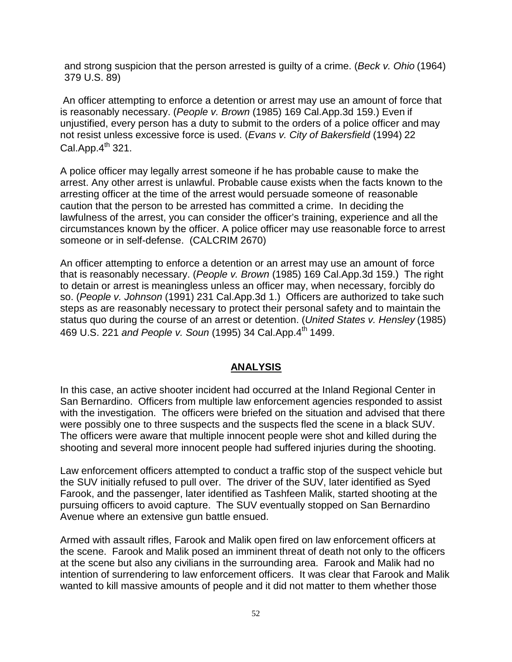and strong suspicion that the person arrested is guilty of a crime. (*Beck v. Ohio* (1964) 379 U.S. 89)

An officer attempting to enforce a detention or arrest may use an amount of force that is reasonably necessary. (*People v. Brown* (1985) 169 Cal.App.3d 159.) Even if unjustified, every person has a duty to submit to the orders of a police officer and may not resist unless excessive force is used. (*Evans v. City of Bakersfield* (1994) 22 Cal.App. $4^{th}$  321.

A police officer may legally arrest someone if he has probable cause to make the arrest. Any other arrest is unlawful. Probable cause exists when the facts known to the arresting officer at the time of the arrest would persuade someone of reasonable caution that the person to be arrested has committed a crime. In deciding the lawfulness of the arrest, you can consider the officer's training, experience and all the circumstances known by the officer. A police officer may use reasonable force to arrest someone or in self-defense. (CALCRIM 2670)

An officer attempting to enforce a detention or an arrest may use an amount of force that is reasonably necessary. (*People v. Brown* (1985) 169 Cal.App.3d 159.) The right to detain or arrest is meaningless unless an officer may, when necessary, forcibly do so. (*People v. Johnson* (1991) 231 Cal.App.3d 1.) Officers are authorized to take such steps as are reasonably necessary to protect their personal safety and to maintain the status quo during the course of an arrest or detention. (*United States v. Hensley* (1985) 469 U.S. 221 *and People v. Soun* (1995) 34 Cal.App.4th 1499.

#### **ANALYSIS**

In this case, an active shooter incident had occurred at the Inland Regional Center in San Bernardino. Officers from multiple law enforcement agencies responded to assist with the investigation. The officers were briefed on the situation and advised that there were possibly one to three suspects and the suspects fled the scene in a black SUV. The officers were aware that multiple innocent people were shot and killed during the shooting and several more innocent people had suffered injuries during the shooting.

Law enforcement officers attempted to conduct a traffic stop of the suspect vehicle but the SUV initially refused to pull over. The driver of the SUV, later identified as Syed Farook, and the passenger, later identified as Tashfeen Malik, started shooting at the pursuing officers to avoid capture. The SUV eventually stopped on San Bernardino Avenue where an extensive gun battle ensued.

Armed with assault rifles, Farook and Malik open fired on law enforcement officers at the scene. Farook and Malik posed an imminent threat of death not only to the officers at the scene but also any civilians in the surrounding area. Farook and Malik had no intention of surrendering to law enforcement officers. It was clear that Farook and Malik wanted to kill massive amounts of people and it did not matter to them whether those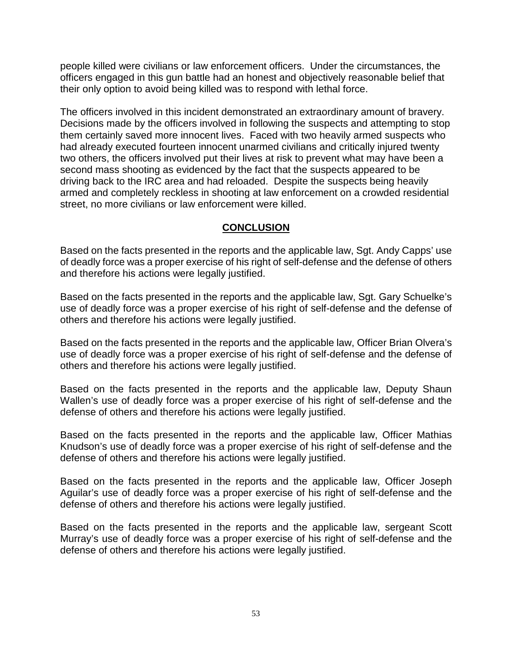people killed were civilians or law enforcement officers. Under the circumstances, the officers engaged in this gun battle had an honest and objectively reasonable belief that their only option to avoid being killed was to respond with lethal force.

The officers involved in this incident demonstrated an extraordinary amount of bravery. Decisions made by the officers involved in following the suspects and attempting to stop them certainly saved more innocent lives. Faced with two heavily armed suspects who had already executed fourteen innocent unarmed civilians and critically injured twenty two others, the officers involved put their lives at risk to prevent what may have been a second mass shooting as evidenced by the fact that the suspects appeared to be driving back to the IRC area and had reloaded. Despite the suspects being heavily armed and completely reckless in shooting at law enforcement on a crowded residential street, no more civilians or law enforcement were killed.

## **CONCLUSION**

Based on the facts presented in the reports and the applicable law, Sgt. Andy Capps' use of deadly force was a proper exercise of his right of self-defense and the defense of others and therefore his actions were legally justified.

Based on the facts presented in the reports and the applicable law, Sgt. Gary Schuelke's use of deadly force was a proper exercise of his right of self-defense and the defense of others and therefore his actions were legally justified.

Based on the facts presented in the reports and the applicable law, Officer Brian Olvera's use of deadly force was a proper exercise of his right of self-defense and the defense of others and therefore his actions were legally justified.

Based on the facts presented in the reports and the applicable law, Deputy Shaun Wallen's use of deadly force was a proper exercise of his right of self-defense and the defense of others and therefore his actions were legally justified.

Based on the facts presented in the reports and the applicable law, Officer Mathias Knudson's use of deadly force was a proper exercise of his right of self-defense and the defense of others and therefore his actions were legally justified.

Based on the facts presented in the reports and the applicable law, Officer Joseph Aguilar's use of deadly force was a proper exercise of his right of self-defense and the defense of others and therefore his actions were legally justified.

Based on the facts presented in the reports and the applicable law, sergeant Scott Murray's use of deadly force was a proper exercise of his right of self-defense and the defense of others and therefore his actions were legally justified.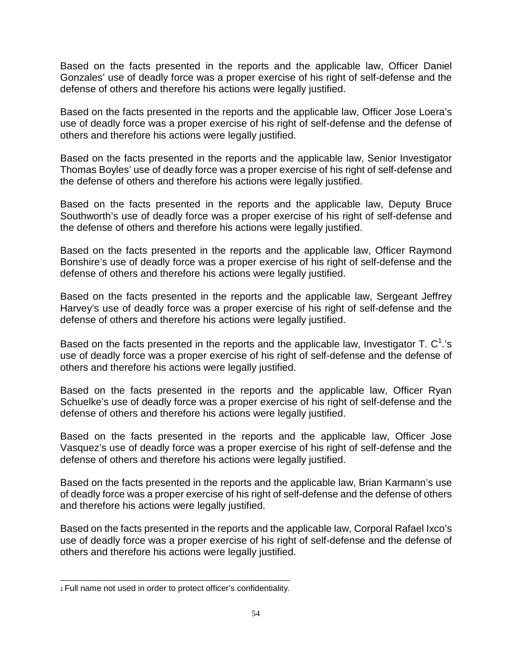Based on the facts presented in the reports and the applicable law, Officer Daniel Gonzales' use of deadly force was a proper exercise of his right of self-defense and the defense of others and therefore his actions were legally justified.

Based on the facts presented in the reports and the applicable law, Officer Jose Loera's use of deadly force was a proper exercise of his right of self-defense and the defense of others and therefore his actions were legally justified.

Based on the facts presented in the reports and the applicable law, Senior Investigator Thomas Boyles' use of deadly force was a proper exercise of his right of self-defense and the defense of others and therefore his actions were legally justified.

Based on the facts presented in the reports and the applicable law, Deputy Bruce Southworth's use of deadly force was a proper exercise of his right of self-defense and the defense of others and therefore his actions were legally justified.

Based on the facts presented in the reports and the applicable law, Officer Raymond Bonshire's use of deadly force was a proper exercise of his right of self-defense and the defense of others and therefore his actions were legally justified.

Based on the facts presented in the reports and the applicable law, Sergeant Jeffrey Harvey's use of deadly force was a proper exercise of his right of self-defense and the defense of others and therefore his actions were legally justified.

Based on the facts presented in the reports and the applicable law, Investigator T.  $C^{1}$ .'s use of deadly force was a proper exercise of his right of self-defense and the defense of others and therefore his actions were legally justified.

Based on the facts presented in the reports and the applicable law, Officer Ryan Schuelke's use of deadly force was a proper exercise of his right of self-defense and the defense of others and therefore his actions were legally justified.

Based on the facts presented in the reports and the applicable law, Officer Jose Vasquez's use of deadly force was a proper exercise of his right of self-defense and the defense of others and therefore his actions were legally justified.

Based on the facts presented in the reports and the applicable law, Brian Karmann's use of deadly force was a proper exercise of his right of self-defense and the defense of others and therefore his actions were legally justified.

Based on the facts presented in the reports and the applicable law, Corporal Rafael Ixco's use of deadly force was a proper exercise of his right of self-defense and the defense of others and therefore his actions were legally justified.

\_\_\_\_\_\_\_\_\_\_\_\_\_\_\_\_\_\_\_\_\_\_\_\_\_\_\_\_\_\_\_\_\_\_\_\_\_\_\_\_\_\_\_\_\_\_ 1 Full name not used in order to protect officer's confidentiality.